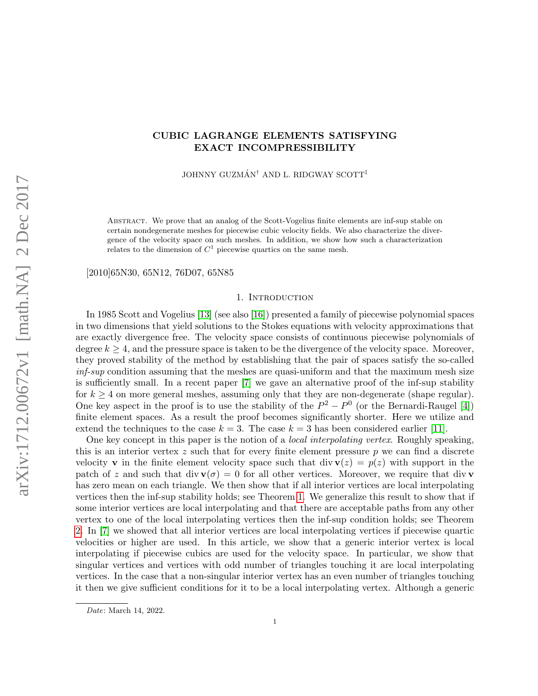# CUBIC LAGRANGE ELEMENTS SATISFYING EXACT INCOMPRESSIBILITY

JOHNNY GUZMÁN<sup>†</sup> AND L. RIDGWAY SCOTT<sup>‡</sup>

Abstract. We prove that an analog of the Scott-Vogelius finite elements are inf-sup stable on certain nondegenerate meshes for piecewise cubic velocity fields. We also characterize the divergence of the velocity space on such meshes. In addition, we show how such a characterization relates to the dimension of  $C^1$  piecewise quartics on the same mesh.

[2010]65N30, 65N12, 76D07, 65N85

## 1. INTRODUCTION

In 1985 Scott and Vogelius [\[13\]](#page-30-0) (see also [\[16\]](#page-30-1)) presented a family of piecewise polynomial spaces in two dimensions that yield solutions to the Stokes equations with velocity approximations that are exactly divergence free. The velocity space consists of continuous piecewise polynomials of degree  $k > 4$ , and the pressure space is taken to be the divergence of the velocity space. Moreover, they proved stability of the method by establishing that the pair of spaces satisfy the so-called inf-sup condition assuming that the meshes are quasi-uniform and that the maximum mesh size is sufficiently small. In a recent paper [\[7\]](#page-29-0) we gave an alternative proof of the inf-sup stability for  $k \geq 4$  on more general meshes, assuming only that they are non-degenerate (shape regular). One key aspect in the proof is to use the stability of the  $P^2 - P^0$  (or the Bernardi-Raugel [\[4\]](#page-29-1)) finite element spaces. As a result the proof becomes significantly shorter. Here we utilize and extend the techniques to the case  $k = 3$ . The case  $k = 3$  has been considered earlier [\[11\]](#page-30-2).

One key concept in this paper is the notion of a *local interpolating vertex*. Roughly speaking, this is an interior vertex  $z$  such that for every finite element pressure  $p$  we can find a discrete velocity **v** in the finite element velocity space such that div  $\mathbf{v}(z) = p(z)$  with support in the patch of z and such that div  $\mathbf{v}(\sigma) = 0$  for all other vertices. Moreover, we require that div v has zero mean on each triangle. We then show that if all interior vertices are local interpolating vertices then the inf-sup stability holds; see Theorem [1.](#page-16-0) We generalize this result to show that if some interior vertices are local interpolating and that there are acceptable paths from any other vertex to one of the local interpolating vertices then the inf-sup condition holds; see Theorem [2.](#page-23-0) In [\[7\]](#page-29-0) we showed that all interior vertices are local interpolating vertices if piecewise quartic velocities or higher are used. In this article, we show that a generic interior vertex is local interpolating if piecewise cubics are used for the velocity space. In particular, we show that singular vertices and vertices with odd number of triangles touching it are local interpolating vertices. In the case that a non-singular interior vertex has an even number of triangles touching it then we give sufficient conditions for it to be a local interpolating vertex. Although a generic

Date: March 14, 2022.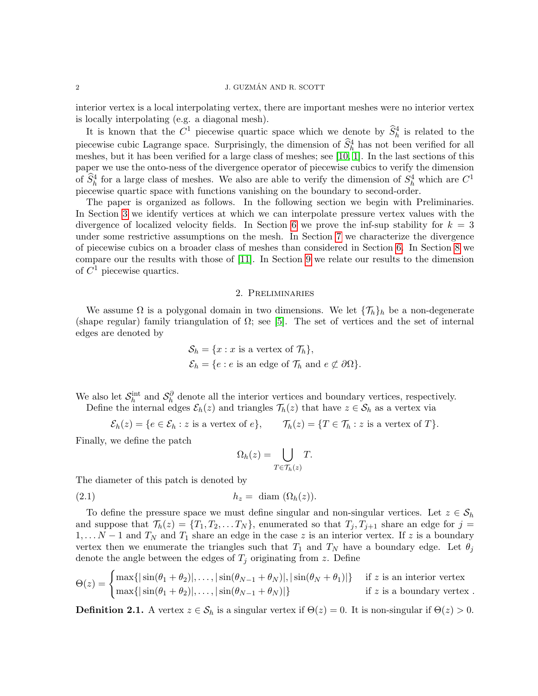interior vertex is a local interpolating vertex, there are important meshes were no interior vertex is locally interpolating (e.g. a diagonal mesh).

It is known that the  $C^1$  piecewise quartic space which we denote by  $\hat{S}_h^4$  is related to the piecewise cubic Lagrange space. Surprisingly, the dimension of  $\hat{S}_h^4$  has not been verified for all meshes, but it has been verified for a large class of meshes; see [\[10,](#page-29-2) [1\]](#page-29-3). In the last sections of this paper we use the onto-ness of the divergence operator of piecewise cubics to verify the dimension of  $\widehat{S}_h^4$  for a large class of meshes. We also are able to verify the dimension of  $S_h^4$  which are  $C^1$ piecewise quartic space with functions vanishing on the boundary to second-order.

The paper is organized as follows. In the following section we begin with Preliminaries. In Section [3](#page-5-0) we identify vertices at which we can interpolate pressure vertex values with the divergence of localized velocity fields. In Section [6](#page-14-0) we prove the inf-sup stability for  $k = 3$ under some restrictive assumptions on the mesh. In Section [7](#page-17-0) we characterize the divergence of piecewise cubics on a broader class of meshes than considered in Section [6.](#page-14-0) In Section [8](#page-24-0) we compare our the results with those of [\[11\]](#page-30-2). In Section [9](#page-25-0) we relate our results to the dimension of  $C^1$  piecewise quartics.

## 2. Preliminaries

We assume  $\Omega$  is a polygonal domain in two dimensions. We let  $\{\mathcal{T}_h\}_h$  be a non-degenerate (shape regular) family triangulation of  $\Omega$ ; see [\[5\]](#page-29-4). The set of vertices and the set of internal edges are denoted by

$$
\mathcal{S}_h = \{x : x \text{ is a vertex of } \mathcal{T}_h\},\
$$
  

$$
\mathcal{E}_h = \{e : e \text{ is an edge of } \mathcal{T}_h \text{ and } e \not\subset \partial\Omega\}.
$$

We also let  $S_h^{\text{int}}$  and  $S_h^{\partial}$  denote all the interior vertices and boundary vertices, respectively.

Define the internal edges  $\mathcal{E}_h(z)$  and triangles  $\mathcal{T}_h(z)$  that have  $z \in \mathcal{S}_h$  as a vertex via

$$
\mathcal{E}_h(z) = \{ e \in \mathcal{E}_h : z \text{ is a vertex of } e \}, \qquad \mathcal{T}_h(z) = \{ T \in \mathcal{T}_h : z \text{ is a vertex of } T \}.
$$

Finally, we define the patch

<span id="page-1-0"></span>
$$
\Omega_h(z) = \bigcup_{T \in \mathcal{T}_h(z)} T.
$$

The diameter of this patch is denoted by

(2.1) h<sup>z</sup> = diam (Ωh(z)).

To define the pressure space we must define singular and non-singular vertices. Let  $z \in S_h$ and suppose that  $\mathcal{T}_h(z) = \{T_1, T_2, \ldots T_N\}$ , enumerated so that  $T_j, T_{j+1}$  share an edge for  $j =$  $1, \ldots N-1$  and  $T_N$  and  $T_1$  share an edge in the case z is an interior vertex. If z is a boundary vertex then we enumerate the triangles such that  $T_1$  and  $T_N$  have a boundary edge. Let  $\theta_j$ denote the angle between the edges of  $T_i$  originating from z. Define

$$
\Theta(z) = \begin{cases} \max\{|\sin(\theta_1 + \theta_2)|,\ldots,|\sin(\theta_{N-1} + \theta_N)|,|\sin(\theta_N + \theta_1)|\} & \text{if } z \text{ is an interior vertex} \\ \max\{|\sin(\theta_1 + \theta_2)|,\ldots,|\sin(\theta_{N-1} + \theta_N)|\} & \text{if } z \text{ is a boundary vertex.} \end{cases}
$$

**Definition 2.1.** A vertex  $z \in \mathcal{S}_h$  is a singular vertex if  $\Theta(z) = 0$ . It is non-singular if  $\Theta(z) > 0$ .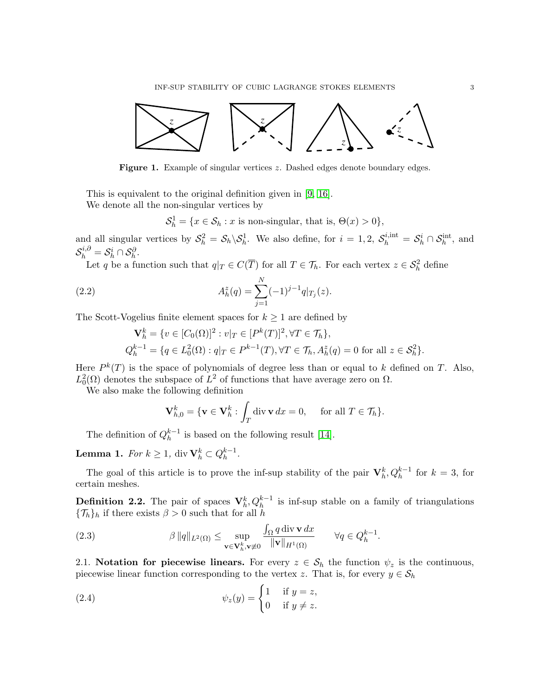

Figure 1. Example of singular vertices z. Dashed edges denote boundary edges.

This is equivalent to the original definition given in [\[9,](#page-29-5) [16\]](#page-30-1).

We denote all the non-singular vertices by

<span id="page-2-1"></span> $S_h^1 = \{x \in S_h : x \text{ is non-singular, that is, } \Theta(x) > 0\},\$ 

and all singular vertices by  $S_h^2 = S_h \backslash S_h^1$ . We also define, for  $i = 1, 2$ ,  $S_h^{i, \text{int}} = S_h^i \cap S_h^{\text{int}}$ , and  $\mathcal{S}_h^{i,\partial}=\mathcal{S}_h^i\cap\mathcal{S}_h^{\partial}.$ 

Let q be a function such that  $q|_T \in C(\overline{T})$  for all  $T \in \mathcal{T}_h$ . For each vertex  $z \in \mathcal{S}_h^2$  define

(2.2) 
$$
A_h^z(q) = \sum_{j=1}^N (-1)^{j-1} q|_{T_j}(z).
$$

The Scott-Vogelius finite element spaces for  $k \geq 1$  are defined by

$$
\mathbf{V}_h^k = \{ v \in [C_0(\Omega)]^2 : v|_T \in [P^k(T)]^2, \forall T \in \mathcal{T}_h \},
$$
  
\n
$$
Q_h^{k-1} = \{ q \in L_0^2(\Omega) : q|_T \in P^{k-1}(T), \forall T \in \mathcal{T}_h, A_h^z(q) = 0 \text{ for all } z \in \mathcal{S}_h^2 \}.
$$

Here  $P^{k}(T)$  is the space of polynomials of degree less than or equal to k defined on T. Also,  $L_0^2(\Omega)$  denotes the subspace of  $L^2$  of functions that have average zero on  $\Omega$ .

We also make the following definition

$$
\mathbf{V}_{h,0}^k = \{ \mathbf{v} \in \mathbf{V}_h^k : \int_T \text{div} \, \mathbf{v} \, dx = 0, \quad \text{ for all } T \in \mathcal{T}_h \}.
$$

The definition of  $Q_h^{k-1}$  $h^{k-1}$  is based on the following result [\[14\]](#page-30-3).

**Lemma 1.** For  $k \geq 1$ , div  $\mathbf{V}_h^k \subset Q_h^{k-1}$  $\frac{k-1}{h}$ .

The goal of this article is to prove the inf-sup stability of the pair  $V_h^k, Q_h^{k-1}$  for  $k=3$ , for certain meshes.

**Definition 2.2.** The pair of spaces  $V_h^k, Q_h^{k-1}$  is inf-sup stable on a family of triangulations  ${\{\mathcal{T}_h\}}_h$  if there exists  $\beta > 0$  such that for all h

<span id="page-2-0"></span>(2.3) 
$$
\beta \|q\|_{L^2(\Omega)} \leq \sup_{\mathbf{v}\in \mathbf{V}_h^k, \mathbf{v}\neq 0} \frac{\int_{\Omega} q \operatorname{div} \mathbf{v} dx}{\|\mathbf{v}\|_{H^1(\Omega)}} \qquad \forall q \in Q_h^{k-1}.
$$

2.1. Notation for piecewise linears. For every  $z \in S_h$  the function  $\psi_z$  is the continuous, piecewise linear function corresponding to the vertex z. That is, for every  $y \in S_h$ 

(2.4) 
$$
\psi_z(y) = \begin{cases} 1 & \text{if } y = z, \\ 0 & \text{if } y \neq z. \end{cases}
$$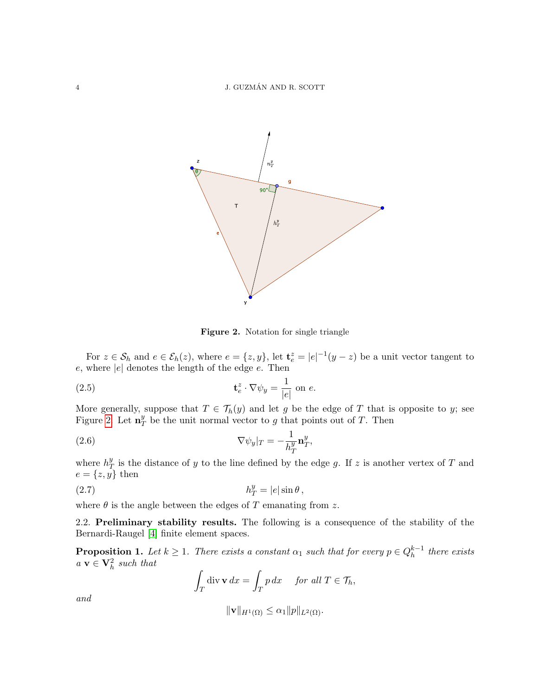<span id="page-3-0"></span>

<span id="page-3-4"></span><span id="page-3-2"></span>Figure 2. Notation for single triangle

For  $z \in \mathcal{S}_h$  and  $e \in \mathcal{E}_h(z)$ , where  $e = \{z, y\}$ , let  $\mathbf{t}_e^z = |e|^{-1}(y - z)$  be a unit vector tangent to  $e$ , where  $|e|$  denotes the length of the edge  $e$ . Then

(2.5) 
$$
\mathbf{t}_{e}^{z} \cdot \nabla \psi_{y} = \frac{1}{|e|} \text{ on } e.
$$

More generally, suppose that  $T \in \mathcal{T}_h(y)$  and let g be the edge of T that is opposite to y; see Figure [2.](#page-3-0) Let  $\mathbf{n}_{7}^{y}$  $y<sub>T</sub>$  be the unit normal vector to g that points out of T. Then

(2.6) 
$$
\nabla \psi_y|_T = -\frac{1}{h_T^y} \mathbf{n}_T^y,
$$

where  $h^y_7$  $\frac{y}{T}$  is the distance of y to the line defined by the edge g. If z is another vertex of T and  $e = \{z, y\}$  then

$$
(2.7) \t\t\t h_T^y = |e| \sin \theta \,,
$$

where  $\theta$  is the angle between the edges of T emanating from z.

2.2. Preliminary stability results. The following is a consequence of the stability of the Bernardi-Raugel [\[4\]](#page-29-1) finite element spaces.

<span id="page-3-1"></span>**Proposition 1.** Let  $k \geq 1$ . There exists a constant  $\alpha_1$  such that for every  $p \in Q_h^{k-1}$  $h^{k-1}$  there exists  $a \mathbf{v} \in \mathbf{V}_h^2$  such that

<span id="page-3-3"></span>
$$
\int_T \operatorname{div} \mathbf{v} \, dx = \int_T p \, dx \quad \text{for all } T \in \mathcal{T}_h,
$$

and

$$
\|\mathbf{v}\|_{H^1(\Omega)} \le \alpha_1 \|p\|_{L^2(\Omega)}.
$$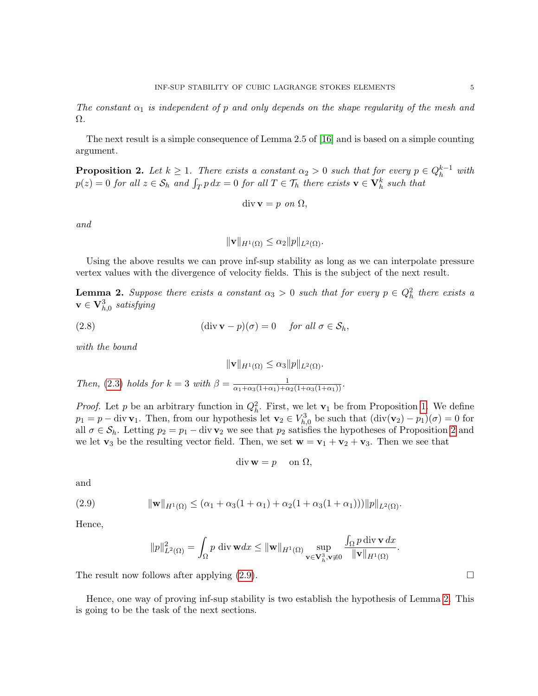The constant  $\alpha_1$  is independent of p and only depends on the shape regularity of the mesh and Ω.

The next result is a simple consequence of Lemma 2.5 of [\[16\]](#page-30-1) and is based on a simple counting argument.

<span id="page-4-0"></span>**Proposition 2.** Let  $k \geq 1$ . There exists a constant  $\alpha_2 > 0$  such that for every  $p \in Q_h^{k-1}$  with  $p(z) = 0$  for all  $z \in S_h$  and  $\int_T p \, dx = 0$  for all  $T \in \mathcal{T}_h$  there exists  $\mathbf{v} \in \mathbf{V}_h^k$  such that

$$
\operatorname{div} \mathbf{v} = p \text{ on } \Omega,
$$

and

$$
\|\mathbf{v}\|_{H^1(\Omega)} \le \alpha_2 \|p\|_{L^2(\Omega)}.
$$

Using the above results we can prove inf-sup stability as long as we can interpolate pressure vertex values with the divergence of velocity fields. This is the subject of the next result.

<span id="page-4-2"></span>**Lemma 2.** Suppose there exists a constant  $\alpha_3 > 0$  such that for every  $p \in Q_h^2$  there exists a  $\mathbf{v} \in \mathbf{V}^3_{h,0}$  satisfying

(2.8) 
$$
(\text{div }\mathbf{v} - p)(\sigma) = 0 \quad \text{for all } \sigma \in \mathcal{S}_h,
$$

with the bound

$$
\|\mathbf{v}\|_{H^1(\Omega)} \le \alpha_3 \|p\|_{L^2(\Omega)}.
$$

Then, [\(2.3\)](#page-2-0) holds for  $k=3$  with  $\beta = \frac{1}{\alpha_1+\alpha_3(1+\alpha_1)+\alpha_2(1+\alpha_3(1+\alpha_1))}$ .

*Proof.* Let p be an arbitrary function in  $Q_h^2$ . First, we let  $\mathbf{v}_1$  be from Proposition [1.](#page-3-1) We define  $p_1 = p - \text{div } \mathbf{v}_1$ . Then, from our hypothesis let  $\mathbf{v}_2 \in V_{h,0}^3$  be such that  $(\text{div}(\mathbf{v}_2) - p_1)(\sigma) = 0$  for all  $\sigma \in \mathcal{S}_h$ . Letting  $p_2 = p_1 - \text{div } \mathbf{v}_2$  we see that  $p_2$  satisfies the hypotheses of Proposition [2](#page-4-0) and we let  $\mathbf{v}_3$  be the resulting vector field. Then, we set  $\mathbf{w} = \mathbf{v}_1 + \mathbf{v}_2 + \mathbf{v}_3$ . Then we see that

$$
\operatorname{div} \mathbf{w} = p \quad \text{ on } \Omega,
$$

and

(2.9) 
$$
\|\mathbf{w}\|_{H^1(\Omega)} \leq (\alpha_1 + \alpha_3(1+\alpha_1) + \alpha_2(1+\alpha_3(1+\alpha_1)))\|p\|_{L^2(\Omega)}.
$$

Hence,

<span id="page-4-1"></span>
$$
\|p\|_{L^2(\Omega)}^2 = \int_{\Omega} p \operatorname{div} \mathbf{w} dx \leq \|\mathbf{w}\|_{H^1(\Omega)} \sup_{\mathbf{v} \in \mathbf{V}_h^3, \mathbf{v} \neq 0} \frac{\int_{\Omega} p \operatorname{div} \mathbf{v} dx}{\|\mathbf{v}\|_{H^1(\Omega)}}.
$$

The result now follows after applying  $(2.9)$ .

Hence, one way of proving inf-sup stability is two establish the hypothesis of Lemma [2.](#page-4-2) This is going to be the task of the next sections.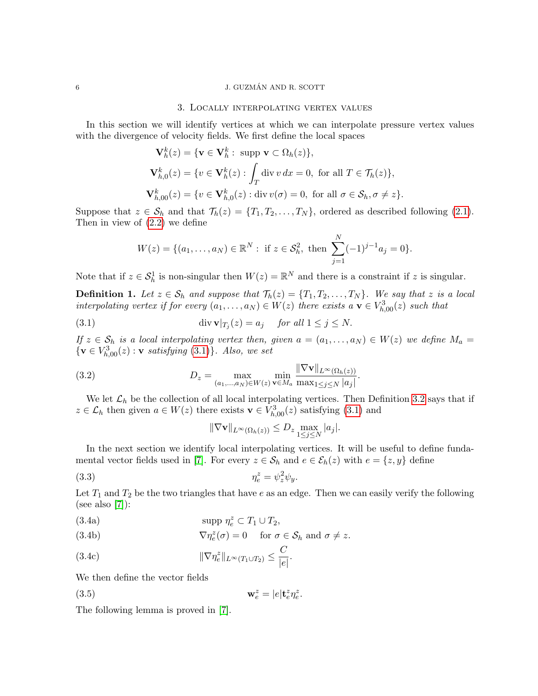## <span id="page-5-0"></span> $6$   $\,$   $\,$   $\,$  J. GUZMÁN AND R. SCOTT

### 3. Locally interpolating vertex values

In this section we will identify vertices at which we can interpolate pressure vertex values with the divergence of velocity fields. We first define the local spaces

$$
\mathbf{V}_h^k(z) = \{ \mathbf{v} \in \mathbf{V}_h^k : \text{ supp } \mathbf{v} \subset \Omega_h(z) \},
$$
  

$$
\mathbf{V}_{h,0}^k(z) = \{ v \in \mathbf{V}_h^k(z) : \int_T \text{div } v \, dx = 0, \text{ for all } T \in \mathcal{T}_h(z) \},
$$
  

$$
\mathbf{V}_{h,00}^k(z) = \{ v \in \mathbf{V}_{h,0}^k(z) : \text{div } v(\sigma) = 0, \text{ for all } \sigma \in \mathcal{S}_h, \sigma \neq z \}.
$$

Suppose that  $z \in S_h$  and that  $\mathcal{T}_h(z) = \{T_1, T_2, \ldots, T_N\}$ , ordered as described following [\(2.1\)](#page-1-0). Then in view of [\(2.2\)](#page-2-1) we define

<span id="page-5-1"></span>
$$
W(z) = \{(a_1, \ldots, a_N) \in \mathbb{R}^N : \text{ if } z \in \mathcal{S}_h^2, \text{ then } \sum_{j=1}^N (-1)^{j-1} a_j = 0\}.
$$

Note that if  $z \in \mathcal{S}_h^1$  is non-singular then  $W(z) = \mathbb{R}^N$  and there is a constraint if z is singular.

<span id="page-5-6"></span>**Definition 1.** Let  $z \in S_h$  and suppose that  $\mathcal{T}_h(z) = \{T_1, T_2, \ldots, T_N\}$ . We say that z is a local interpolating vertex if for every  $(a_1, \ldots, a_N) \in W(z)$  there exists  $a \mathbf{v} \in V^3_{h,00}(z)$  such that

(3.1) 
$$
\operatorname{div} \mathbf{v}|_{T_j}(z) = a_j \quad \text{for all } 1 \leq j \leq N.
$$

If  $z \in S_h$  is a local interpolating vertex then, given  $a = (a_1, \ldots, a_N) \in W(z)$  we define  $M_a =$  $\{v \in V_{h,00}^3(z) : v \text{ satisfying (3.1)}\}\.$  $\{v \in V_{h,00}^3(z) : v \text{ satisfying (3.1)}\}\.$  $\{v \in V_{h,00}^3(z) : v \text{ satisfying (3.1)}\}\.$  Also, we set

(3.2) 
$$
D_z = \max_{(a_1,...,a_N) \in W(z)} \min_{\mathbf{v} \in M_a} \frac{\|\nabla \mathbf{v}\|_{L^{\infty}(\Omega_h(z))}}{\max_{1 \le j \le N} |a_j|}.
$$

We let  $\mathcal{L}_h$  be the collection of all local interpolating vertices. Then Definition [3.2](#page-5-2) says that if  $z \in \mathcal{L}_h$  then given  $a \in W(z)$  there exists  $\mathbf{v} \in V_{h,00}^3(z)$  satisfying [\(3.1\)](#page-5-1) and

<span id="page-5-4"></span><span id="page-5-3"></span><span id="page-5-2"></span>
$$
\|\nabla \mathbf{v}\|_{L^{\infty}(\Omega_h(z))} \le D_z \max_{1 \le j \le N} |a_j|.
$$

In the next section we identify local interpolating vertices. It will be useful to define funda-mental vector fields used in [\[7\]](#page-29-0). For every  $z \in \mathcal{S}_h$  and  $e \in \mathcal{E}_h(z)$  with  $e = \{z, y\}$  define

$$
(3.3) \t\t \eta_e^z = \psi_z^2 \psi_y.
$$

Let  $T_1$  and  $T_2$  be the two triangles that have e as an edge. Then we can easily verify the following (see also  $[7]$ ):

(3.4a) 
$$
\text{supp }\eta_e^z \subset T_1 \cup T_2,
$$

(3.4b) 
$$
\nabla \eta_e^z(\sigma) = 0 \quad \text{for } \sigma \in \mathcal{S}_h \text{ and } \sigma \neq z.
$$

<span id="page-5-5"></span>(3.4c) 
$$
\|\nabla \eta_e^z\|_{L^\infty(T_1 \cup T_2)} \leq \frac{C}{|e|}.
$$

We then define the vector fields

(3.5) 
$$
\mathbf{w}_e^z = |e| \mathbf{t}_e^z \eta_e^z.
$$

The following lemma is proved in [\[7\]](#page-29-0).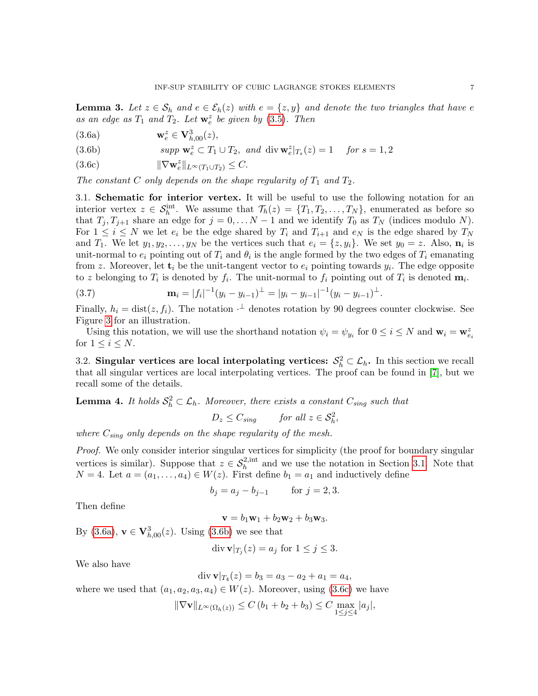**Lemma 3.** Let  $z \in S_h$  and  $e \in \mathcal{E}_h(z)$  with  $e = \{z, y\}$  and denote the two triangles that have e as an edge as  $T_1$  and  $T_2$ . Let  $\mathbf{w}_e^z$  be given by [\(3.5\)](#page-5-3). Then

<span id="page-6-6"></span><span id="page-6-1"></span>(3.6a) 
$$
\mathbf{w}_e^z \in \mathbf{V}_{h,00}^3(z),
$$

<span id="page-6-2"></span>(3.6b)  $supp \mathbf{w}_e^z \subset T_1 \cup T_2$ , and  $div \mathbf{w}_e^z |_{T_s}(z) = 1$  for  $s = 1, 2$ 

<span id="page-6-3"></span>(3.6c)  $\|\nabla \mathbf{w}_e^z\|_{L^\infty(T_1 \cup T_2)} \leq C.$ 

The constant C only depends on the shape regularity of  $T_1$  and  $T_2$ .

<span id="page-6-0"></span>3.1. Schematic for interior vertex. It will be useful to use the following notation for an interior vertex  $z \in S_h^{\text{int}}$ . We assume that  $\mathcal{T}_h(z) = \{T_1, T_2, \ldots, T_N\}$ , enumerated as before so that  $T_j, T_{j+1}$  share an edge for  $j = 0, \ldots N-1$  and we identify  $T_0$  as  $T_N$  (indices modulo N). For  $1 \leq i \leq N$  we let  $e_i$  be the edge shared by  $T_i$  and  $T_{i+1}$  and  $e_N$  is the edge shared by  $T_N$ and  $T_1$ . We let  $y_1, y_2, \ldots, y_N$  be the vertices such that  $e_i = \{z, y_i\}$ . We set  $y_0 = z$ . Also,  $\mathbf{n}_i$  is unit-normal to  $e_i$  pointing out of  $T_i$  and  $\theta_i$  is the angle formed by the two edges of  $T_i$  emanating from z. Moreover, let  $\mathbf{t}_i$  be the unit-tangent vector to  $e_i$  pointing towards  $y_i$ . The edge opposite to z belonging to  $T_i$  is denoted by  $f_i$ . The unit-normal to  $f_i$  pointing out of  $T_i$  is denoted  $\mathbf{m}_i$ .

<span id="page-6-4"></span>(3.7) 
$$
\mathbf{m}_{i} = |f_{i}|^{-1}(y_{i} - y_{i-1})^{\perp} = |y_{i} - y_{i-1}|^{-1}(y_{i} - y_{i-1})^{\perp}.
$$

Finally,  $h_i = \text{dist}(z, f_i)$ . The notation  $\cdot^{\perp}$  denotes rotation by 90 degrees counter clockwise. See Figure [3](#page-7-0) for an illustration.

Using this notation, we will use the shorthand notation  $\psi_i = \psi_{y_i}$  for  $0 \le i \le N$  and  $\mathbf{w}_i = \mathbf{w}_{e_i}^z$ for  $1 \leq i \leq N$ .

3.2. Singular vertices are local interpolating vertices:  $S_h^2 \subset \mathcal{L}_h$ . In this section we recall that all singular vertices are local interpolating vertices. The proof can be found in [\[7\]](#page-29-0), but we recall some of the details.

<span id="page-6-5"></span>**Lemma 4.** It holds  $S_h^2 \subset \mathcal{L}_h$ . Moreover, there exists a constant  $C_{sing}$  such that

$$
D_z \leq C_{sing} \qquad \text{for all } z \in \mathcal{S}_h^2,
$$

where  $C_{sing}$  only depends on the shape regularity of the mesh.

Proof. We only consider interior singular vertices for simplicity (the proof for boundary singular vertices is similar). Suppose that  $z \in S_h^{2,\text{int}}$  and we use the notation in Section [3.1.](#page-6-0) Note that  $N = 4$ . Let  $a = (a_1, \ldots, a_4) \in W(z)$ . First define  $b_1 = a_1$  and inductively define

$$
b_j = a_j - b_{j-1}
$$
 for  $j = 2, 3$ .

Then define

$$
\mathbf{v}=b_1\mathbf{w}_1+b_2\mathbf{w}_2+b_3\mathbf{w}_3.
$$

By [\(3.6a\)](#page-6-1),  $v \in V_{h,00}^3(z)$ . Using [\(3.6b\)](#page-6-2) we see that

$$
\operatorname{div} \mathbf{v}|_{T_j}(z) = a_j \text{ for } 1 \le j \le 3.
$$

We also have

$$
\operatorname{div} \mathbf{v}|_{T_4}(z) = b_3 = a_3 - a_2 + a_1 = a_4,
$$

where we used that  $(a_1, a_2, a_3, a_4) \in W(z)$ . Moreover, using [\(3.6c\)](#page-6-3) we have

$$
\|\nabla \mathbf{v}\|_{L^{\infty}(\Omega_h(z))} \le C\left(b_1 + b_2 + b_3\right) \le C \max_{1 \le j \le 4} |a_j|,
$$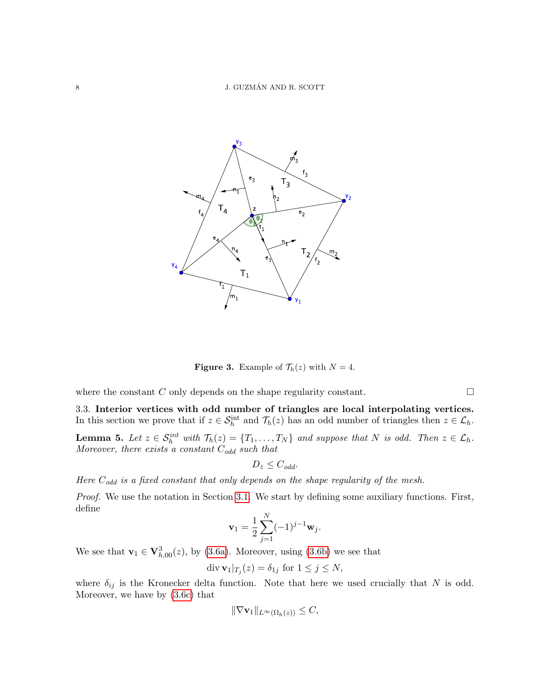<span id="page-7-0"></span>

**Figure 3.** Example of  $\mathcal{T}_h(z)$  with  $N = 4$ .

where the constant C only depends on the shape regularity constant.  $\Box$ 

3.3. Interior vertices with odd number of triangles are local interpolating vertices. In this section we prove that if  $z \in \mathcal{S}_h^{\text{int}}$  and  $\mathcal{T}_h(z)$  has an odd number of triangles then  $z \in \mathcal{L}_h$ .

<span id="page-7-1"></span>**Lemma 5.** Let  $z \in S_h^{int}$  with  $\mathcal{T}_h(z) = \{T_1, \ldots, T_N\}$  and suppose that N is odd. Then  $z \in \mathcal{L}_h$ . Moreover, there exists a constant  $C_{odd}$  such that

$$
D_z \leq C_{odd}.
$$

Here  $C_{odd}$  is a fixed constant that only depends on the shape regularity of the mesh.

Proof. We use the notation in Section [3.1.](#page-6-0) We start by defining some auxiliary functions. First, define

$$
\mathbf{v}_1 = \frac{1}{2} \sum_{j=1}^N (-1)^{j-1} \mathbf{w}_j.
$$

We see that  $\mathbf{v}_1 \in \mathbf{V}_{h,00}^3(z)$ , by [\(3.6a\)](#page-6-1). Moreover, using [\(3.6b\)](#page-6-2) we see that

$$
\operatorname{div} \mathbf{v}_1|_{T_j}(z) = \delta_{1j} \text{ for } 1 \le j \le N,
$$

where  $\delta_{ij}$  is the Kronecker delta function. Note that here we used crucially that N is odd. Moreover, we have by [\(3.6c\)](#page-6-3) that

$$
\|\nabla \mathbf{v}_1\|_{L^{\infty}(\Omega_h(z))} \leq C,
$$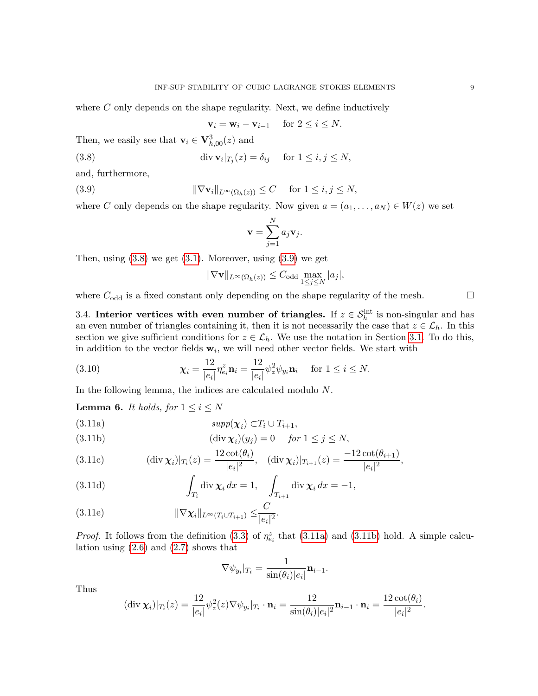where  $C$  only depends on the shape regularity. Next, we define inductively

<span id="page-8-1"></span><span id="page-8-0"></span>
$$
\mathbf{v}_i = \mathbf{w}_i - \mathbf{v}_{i-1} \quad \text{ for } 2 \le i \le N.
$$

Then, we easily see that  $\mathbf{v}_i \in \mathbf{V}_{h,00}^3(z)$  and

(3.8) 
$$
\operatorname{div} \mathbf{v}_i|_{T_j}(z) = \delta_{ij} \quad \text{for } 1 \le i, j \le N,
$$

and, furthermore,

(3.9) 
$$
\|\nabla \mathbf{v}_i\|_{L^{\infty}(\Omega_h(z))} \leq C \quad \text{for } 1 \leq i, j \leq N,
$$

where C only depends on the shape regularity. Now given  $a = (a_1, \ldots, a_N) \in W(z)$  we set

$$
\mathbf{v} = \sum_{j=1}^N a_j \mathbf{v}_j.
$$

Then, using  $(3.8)$  we get  $(3.1)$ . Moreover, using  $(3.9)$  we get

$$
\|\nabla \mathbf{v}\|_{L^{\infty}(\Omega_h(z))} \leq C_{\text{odd}} \max_{1 \leq j \leq N} |a_j|,
$$

where  $C_{\text{odd}}$  is a fixed constant only depending on the shape regularity of the mesh.  $\square$ 

3.4. Interior vertices with even number of triangles. If  $z \in S_h^{\text{int}}$  is non-singular and has an even number of triangles containing it, then it is not necessarily the case that  $z \in \mathcal{L}_h$ . In this section we give sufficient conditions for  $z \in \mathcal{L}_h$ . We use the notation in Section [3.1.](#page-6-0) To do this, in addition to the vector fields  $w_i$ , we will need other vector fields. We start with

(3.10) 
$$
\chi_{i} = \frac{12}{|e_{i}|} \eta_{e_{i}}^{z} \mathbf{n}_{i} = \frac{12}{|e_{i}|} \psi_{z}^{2} \psi_{y_{i}} \mathbf{n}_{i} \text{ for } 1 \leq i \leq N.
$$

In the following lemma, the indices are calculated modulo N.

**Lemma 6.** It holds, for  $1 \leq i \leq N$ 

<span id="page-8-2"></span>
$$
(3.11a) \t\t supp(\chi_i) \subset T_i \cup T_{i+1},
$$

<span id="page-8-3"></span>(3.11b) 
$$
(\text{div }\chi_i)(y_j) = 0 \quad \text{for } 1 \le j \le N,
$$

(3.11c) 
$$
(\text{div }\chi_i)|_{T_i}(z) = \frac{12 \cot(\theta_i)}{|e_i|^2}, \quad (\text{div }\chi_i)|_{T_{i+1}}(z) = \frac{-12 \cot(\theta_{i+1})}{|e_i|^2},
$$

<span id="page-8-4"></span>(3.11d) 
$$
\int_{T_i} \text{div } \chi_i \, dx = 1, \quad \int_{T_{i+1}} \text{div } \chi_i \, dx = -1,
$$

<span id="page-8-5"></span>
$$
(3.11e) \t\t\t \|\nabla \chi_i\|_{L^{\infty}(T_i \cup T_{i+1})} \leq \frac{C}{|e_i|^2}.
$$

*Proof.* It follows from the definition [\(3.3\)](#page-5-4) of  $\eta_{e_i}^z$  that [\(3.11a\)](#page-8-2) and [\(3.11b\)](#page-8-3) hold. A simple calculation using  $(2.6)$  and  $(2.7)$  shows that

$$
\nabla \psi_{y_i}|_{T_i} = \frac{1}{\sin(\theta_i)|e_i|} \mathbf{n}_{i-1}.
$$

Thus

$$
(\operatorname{div} \chi_i)|_{T_i}(z) = \frac{12}{|e_i|} \psi_z^2(z) \nabla \psi_{y_i}|_{T_i} \cdot \mathbf{n}_i = \frac{12}{\sin(\theta_i)|e_i|^2} \mathbf{n}_{i-1} \cdot \mathbf{n}_i = \frac{12 \cot(\theta_i)}{|e_i|^2}.
$$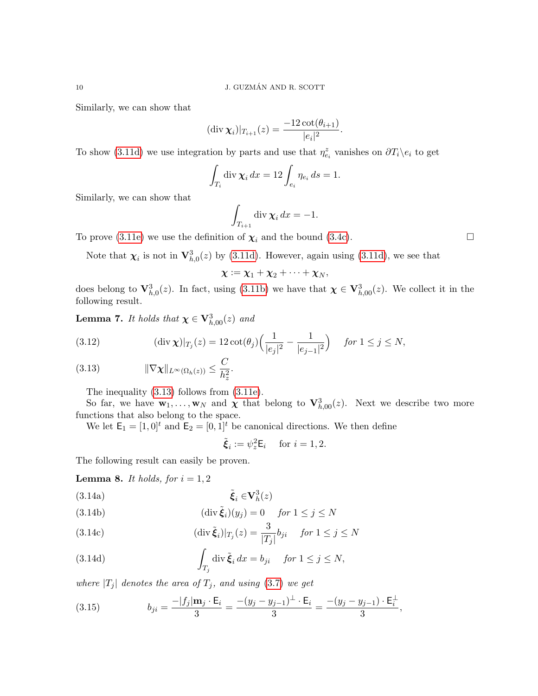Similarly, we can show that

$$
(\operatorname{div} \chi_i)|_{T_{i+1}}(z) = \frac{-12 \cot(\theta_{i+1})}{|e_i|^2}.
$$

To show [\(3.11d\)](#page-8-4) we use integration by parts and use that  $\eta_{e_i}^z$  vanishes on  $\partial T_i \backslash e_i$  to get

$$
\int_{T_i} \operatorname{div} \chi_i \, dx = 12 \int_{e_i} \eta_{e_i} \, ds = 1.
$$

Similarly, we can show that

$$
\int_{T_{i+1}} \operatorname{div} \chi_i \, dx = -1.
$$

To prove [\(3.11e\)](#page-8-5) we use the definition of  $\chi_i$  and the bound [\(3.4c\)](#page-5-5).

Note that  $\chi_i$  is not in  $\mathbf{V}_{h,0}^3(z)$  by [\(3.11d\)](#page-8-4). However, again using (3.11d), we see that

$$
\chi := \chi_1 + \chi_2 + \cdots + \chi_N,
$$

does belong to  $\mathbf{V}_{h,0}^3(z)$ . In fact, using [\(3.11b\)](#page-8-3) we have that  $\boldsymbol{\chi} \in \mathbf{V}_{h,00}^3(z)$ . We collect it in the following result.

**Lemma 7.** It holds that  $\chi \in V_{h,00}^3(z)$  and

(3.12) 
$$
(\text{div }\chi)|_{T_j}(z) = 12 \cot(\theta_j) \Big( \frac{1}{|e_j|^2} - \frac{1}{|e_{j-1}|^2} \Big) \quad \text{for } 1 \le j \le N,
$$

<span id="page-9-0"></span>
$$
(3.13) \t\t\t \|\nabla \chi\|_{L^{\infty}(\Omega_h(z))} \leq \frac{C}{h_z^2}.
$$

The inequality [\(3.13\)](#page-9-0) follows from [\(3.11e\)](#page-8-5).

So far, we have  $\mathbf{w}_1,\ldots,\mathbf{w}_N$  and  $\boldsymbol{\chi}$  that belong to  $\mathbf{V}_{h,00}^3(z)$ . Next we describe two more functions that also belong to the space.

We let  $\mathsf{E}_1 = [1, 0]^t$  and  $\mathsf{E}_2 = [0, 1]^t$  be canonical directions. We then define

$$
\tilde{\boldsymbol{\xi}}_i := \psi_z^2 \mathsf{E}_i \quad \text{ for } i = 1, 2.
$$

The following result can easily be proven.

**Lemma 8.** It holds, for  $i = 1, 2$ 

<span id="page-9-1"></span>
$$
(3.14a) \qquad \tilde{\boldsymbol{\xi}}_i \in \mathbf{V}_h^3(z)
$$

<span id="page-9-2"></span>(3.14b) 
$$
(\text{div }\tilde{\xi}_i)(y_j) = 0 \quad \text{for } 1 \le j \le N
$$

<span id="page-9-3"></span>(3.14c) 
$$
(\operatorname{div} \tilde{\xi}_i)|_{T_j}(z) = \frac{3}{|T_j|} b_{ji} \quad \text{for } 1 \le j \le N
$$

<span id="page-9-4"></span>(3.14d) 
$$
\int_{T_j} \operatorname{div} \tilde{\xi}_i dx = b_{ji} \quad \text{for } 1 \leq j \leq N,
$$

where  $|T_j|$  denotes the area of  $T_j$ , and using [\(3.7\)](#page-6-4) we get

<span id="page-9-5"></span>(3.15) 
$$
b_{ji} = \frac{-|f_j| \mathbf{m}_j \cdot \mathbf{E}_i}{3} = \frac{-(y_j - y_{j-1})^{\perp} \cdot \mathbf{E}_i}{3} = \frac{-(y_j - y_{j-1}) \cdot \mathbf{E}_i^{\perp}}{3},
$$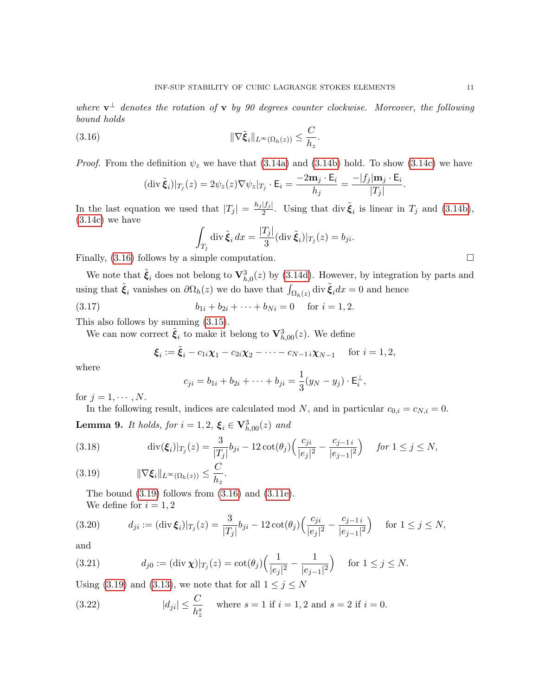where  $\mathbf{v}^{\perp}$  denotes the rotation of  $\mathbf{v}$  by 90 degrees counter clockwise. Moreover, the following bound holds

<span id="page-10-0"></span>.

(3.16) 
$$
\|\nabla \tilde{\xi}_i\|_{L^{\infty}(\Omega_h(z))} \leq \frac{C}{h_z}
$$

*Proof.* From the definition  $\psi_z$  we have that [\(3.14a\)](#page-9-1) and [\(3.14b\)](#page-9-2) hold. To show [\(3.14c\)](#page-9-3) we have

$$
(\operatorname{div} \tilde{\boldsymbol{\xi}}_i)|_{T_j}(z) = 2\psi_z(z)\nabla\psi_z|_{T_j} \cdot \mathsf{E}_i = \frac{-2\mathbf{m}_j \cdot \mathsf{E}_i}{h_j} = \frac{-|f_j|\mathbf{m}_j \cdot \mathsf{E}_i}{|T_j|}
$$

In the last equation we used that  $|T_j| = \frac{h_j |f_j|}{2}$  $\frac{|f_j|}{2}$ . Using that div  $\tilde{\xi}_i$  is linear in  $T_j$  and [\(3.14b\)](#page-9-2), [\(3.14c\)](#page-9-3) we have

$$
\int_{T_j} \operatorname{div} \tilde{\boldsymbol{\xi}}_i \, dx = \frac{|T_j|}{3} (\operatorname{div} \tilde{\boldsymbol{\xi}}_i)|_{T_j}(z) = b_{ji}.
$$

Finally,  $(3.16)$  follows by a simple computation.

We note that  $\tilde{\xi}_i$  does not belong to  $\mathbf{V}_{h,0}^3(z)$  by [\(3.14d\)](#page-9-4). However, by integration by parts and using that  $\tilde{\xi}_i$  vanishes on  $\partial\Omega_h(z)$  we do have that  $\int_{\Omega_h(z)}$  div  $\tilde{\xi}_i dx = 0$  and hence

(3.17)  $b_{1i} + b_{2i} + \cdots + b_{Ni} = 0$  for  $i = 1, 2$ .

This also follows by summing [\(3.15\)](#page-9-5).

We can now correct  $\tilde{\boldsymbol{\xi}}_i$  to make it belong to  $\mathbf{V}_{h,00}^3(z)$ . We define

$$
\xi_i := \tilde{\xi}_i - c_{1i}\chi_1 - c_{2i}\chi_2 - \cdots - c_{N-1}i\chi_{N-1}
$$
 for  $i = 1, 2$ ,

where

$$
c_{ji} = b_{1i} + b_{2i} + \cdots + b_{ji} = \frac{1}{3}(y_N - y_j) \cdot \mathsf{E}_i^{\perp},
$$

for  $j = 1, \cdots, N$ .

In the following result, indices are calculated mod N, and in particular  $c_{0,i} = c_{N,i} = 0$ . **Lemma 9.** It holds, for  $i = 1, 2, \xi_i \in \mathbf{V}_{h,00}^3(z)$  and

(3.18) 
$$
\operatorname{div}(\xi_i)|_{T_j}(z) = \frac{3}{|T_j|}b_{ji} - 12\operatorname{cot}(\theta_j)\left(\frac{c_{ji}}{|e_j|^2} - \frac{c_{j-1}}{|e_{j-1}|^2}\right) \quad \text{for } 1 \le j \le N,
$$

<span id="page-10-1"></span>
$$
(3.19) \t\t\t \|\nabla \xi_i\|_{L^{\infty}(\Omega_h(z))} \leq \frac{C}{h_z}.
$$

<span id="page-10-2"></span>The bound  $(3.19)$  follows from  $(3.16)$  and  $(3.11e)$ . We define for  $i = 1, 2$ 

$$
(3.20) \t d_{ji} := (\operatorname{div} \xi_i)|_{T_j}(z) = \frac{3}{|T_j|} b_{ji} - 12 \cot(\theta_j) \Big( \frac{c_{ji}}{|e_j|^2} - \frac{c_{j-1}}{|e_{j-1}|^2} \Big) \text{ for } 1 \le j \le N,
$$

and

<span id="page-10-3"></span>(3.21) 
$$
d_{j0} := (\text{div } \chi)|_{T_j}(z) = \cot(\theta_j) \Big( \frac{1}{|e_j|^2} - \frac{1}{|e_{j-1}|^2} \Big) \text{ for } 1 \le j \le N.
$$

Using [\(3.19\)](#page-10-1) and [\(3.13\)](#page-9-0), we note that for all  $1 \leq j \leq N$ 

<span id="page-10-4"></span>(3.22) 
$$
|d_{ji}| \le \frac{C}{h_z^s}
$$
 where  $s = 1$  if  $i = 1, 2$  and  $s = 2$  if  $i = 0$ .

.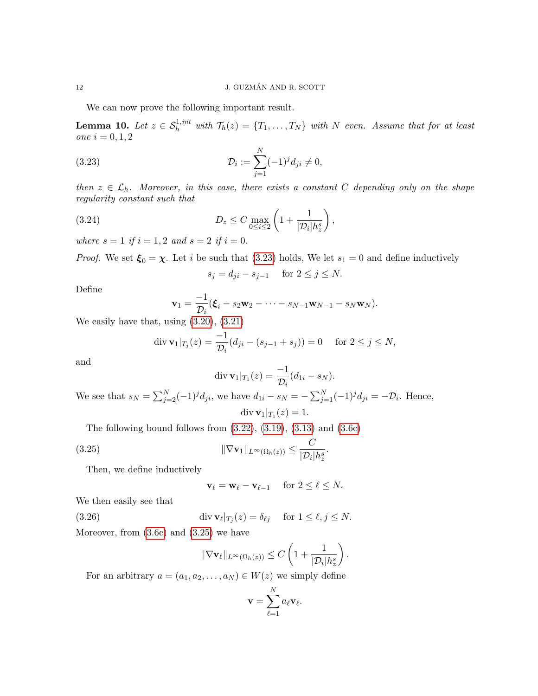We can now prove the following important result.

<span id="page-11-4"></span>**Lemma 10.** Let  $z \in S_h^{1,int}$  with  $\mathcal{T}_h(z) = \{T_1, \ldots, T_N\}$  with N even. Assume that for at least one  $i = 0, 1, 2$ 

(3.23) 
$$
\mathcal{D}_i := \sum_{j=1}^N (-1)^j d_{ji} \neq 0,
$$

then  $z \in \mathcal{L}_h$ . Moreover, in this case, there exists a constant C depending only on the shape regularity constant such that

,

(3.24) 
$$
D_z \leq C \max_{0 \leq i \leq 2} \left( 1 + \frac{1}{|\mathcal{D}_i| h_z^s} \right)
$$

where  $s = 1$  if  $i = 1, 2$  and  $s = 2$  if  $i = 0$ .

*Proof.* We set  $\xi_0 = \chi$ . Let i be such that [\(3.23\)](#page-11-0) holds, We let  $s_1 = 0$  and define inductively

<span id="page-11-3"></span><span id="page-11-0"></span>
$$
s_j = d_{ji} - s_{j-1} \quad \text{ for } 2 \le j \le N.
$$

Define

$$
\mathbf{v}_1 = \frac{-1}{\mathcal{D}_i} (\boldsymbol{\xi}_i - s_2 \mathbf{w}_2 - \cdots - s_{N-1} \mathbf{w}_{N-1} - s_N \mathbf{w}_N).
$$

We easily have that, using [\(3.20\)](#page-10-2), [\(3.21\)](#page-10-3)

$$
\operatorname{div} \mathbf{v}_1|_{T_j}(z) = \frac{-1}{\mathcal{D}_i}(d_{ji} - (s_{j-1} + s_j)) = 0 \quad \text{ for } 2 \le j \le N,
$$

and

$$
\operatorname{div} \mathbf{v}_1|_{T_1}(z) = \frac{-1}{\mathcal{D}_i}(d_{1i} - s_N).
$$

We see that  $s_N = \sum_{j=2}^N (-1)^j d_{ji}$ , we have  $d_{1i} - s_N = -\sum_{j=1}^N (-1)^j d_{ji} = -\mathcal{D}_i$ . Hence,  $\mathrm{div}\,\mathbf{v}_1|_{T_1}(z)=1.$ 

The following bound follows from  $(3.22)$ ,  $(3.19)$ ,  $(3.13)$  and  $(3.6c)$ 

(3.25) 
$$
\|\nabla \mathbf{v}_1\|_{L^{\infty}(\Omega_h(z))} \leq \frac{C}{|\mathcal{D}_i|h_z^s}.
$$

Then, we define inductively

<span id="page-11-2"></span><span id="page-11-1"></span>
$$
\mathbf{v}_{\ell} = \mathbf{w}_{\ell} - \mathbf{v}_{\ell-1} \quad \text{ for } 2 \leq \ell \leq N.
$$

We then easily see that

(3.26) 
$$
\operatorname{div} \mathbf{v}_{\ell}|_{T_j}(z) = \delta_{\ell j} \quad \text{ for } 1 \leq \ell, j \leq N.
$$
 Moreover, from (3.6c) and (3.25) we have

$$
\|\nabla \mathbf{v}_{\ell}\|_{L^{\infty}(\Omega_h(z))} \leq C \left(1 + \frac{1}{|\mathcal{D}_i|h_z^s}\right).
$$

For an arbitrary  $a = (a_1, a_2, \ldots, a_N) \in W(z)$  we simply define

$$
\mathbf{v} = \sum_{\ell=1}^N a_\ell \mathbf{v}_\ell.
$$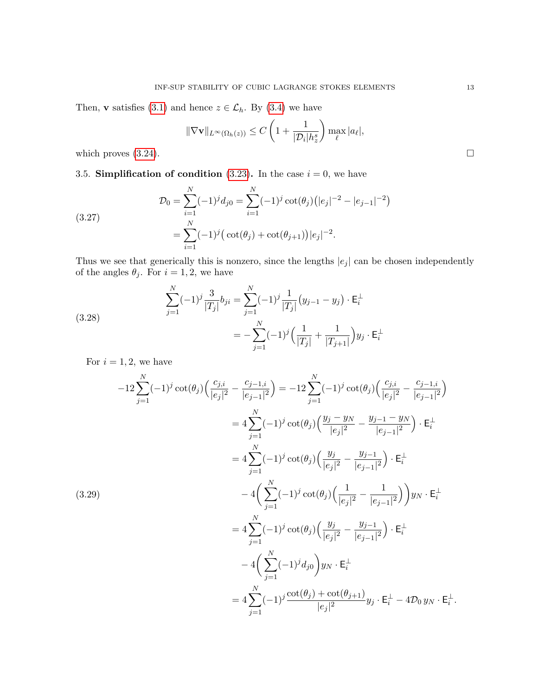Then, **v** satisfies [\(3.1\)](#page-5-1) and hence  $z \in \mathcal{L}_h$ . By [\(3.4\)](#page-11-2) we have

$$
\|\nabla \mathbf{v}\|_{L^{\infty}(\Omega_h(z))} \leq C\left(1+\frac{1}{|\mathcal{D}_i|h_z^s}\right) \max_{\ell} |a_{\ell}|,
$$

which proves  $(3.24)$ .

# 3.5. Simplification of condition [\(3.23\)](#page-11-0). In the case  $i = 0$ , we have

<span id="page-12-0"></span>(3.27)  

$$
\mathcal{D}_0 = \sum_{i=1}^N (-1)^j d_{j0} = \sum_{i=1}^N (-1)^j \cot(\theta_j) (|e_j|^{-2} - |e_{j-1}|^{-2})
$$

$$
= \sum_{i=1}^N (-1)^j (\cot(\theta_j) + \cot(\theta_{j+1})) |e_j|^{-2}.
$$

Thus we see that generically this is nonzero, since the lengths  $|e_j|$  can be chosen independently of the angles  $\theta_j$ . For  $i = 1, 2$ , we have

(3.28) 
$$
\sum_{j=1}^{N} (-1)^{j} \frac{3}{|T_{j}|} b_{ji} = \sum_{j=1}^{N} (-1)^{j} \frac{1}{|T_{j}|} (y_{j-1} - y_{j}) \cdot \mathsf{E}_{i}^{\perp}
$$

$$
= -\sum_{j=1}^{N} (-1)^{j} \left( \frac{1}{|T_{j}|} + \frac{1}{|T_{j+1}|} \right) y_{j} \cdot \mathsf{E}_{i}^{\perp}
$$

For  $i = 1, 2$ , we have

$$
-12\sum_{j=1}^{N}(-1)^{j}\cot(\theta_{j})\left(\frac{c_{j,i}}{|e_{j}|^{2}}-\frac{c_{j-1,i}}{|e_{j-1}|^{2}}\right) = -12\sum_{j=1}^{N}(-1)^{j}\cot(\theta_{j})\left(\frac{c_{j,i}}{|e_{j}|^{2}}-\frac{c_{j-1,i}}{|e_{j-1}|^{2}}\right)
$$

$$
=4\sum_{j=1}^{N}(-1)^{j}\cot(\theta_{j})\left(\frac{y_{j}-y_{N}}{|e_{j}|^{2}}-\frac{y_{j-1}-y_{N}}{|e_{j-1}|^{2}}\right)\cdot\mathsf{E}_{i}^{\perp}
$$

$$
=4\sum_{j=1}^{N}(-1)^{j}\cot(\theta_{j})\left(\frac{y_{j}}{|e_{j}|^{2}}-\frac{y_{j-1}}{|e_{j-1}|^{2}}\right)\cdot\mathsf{E}_{i}^{\perp}
$$

$$
-4\left(\sum_{j=1}^{N}(-1)^{j}\cot(\theta_{j})\left(\frac{1}{|e_{j}|^{2}}-\frac{1}{|e_{j-1}|^{2}}\right)\right)y_{N}\cdot\mathsf{E}_{i}^{\perp}
$$

$$
-4\sum_{j=1}^{N}(-1)^{j}\cot(\theta_{j})\left(\frac{y_{j}}{|e_{j}|^{2}}-\frac{y_{j-1}}{|e_{j-1}|^{2}}\right)\cdot\mathsf{E}_{i}^{\perp}
$$

$$
-4\left(\sum_{j=1}^{N}(-1)^{j}d_{j0}\right)y_{N}\cdot\mathsf{E}_{i}^{\perp}
$$

$$
=4\sum_{j=1}^{N}(-1)^{j}\frac{\cot(\theta_{j})+\cot(\theta_{j+1})}{|e_{j}|^{2}}y_{j}\cdot\mathsf{E}_{i}^{\perp}-4\mathcal{D}_{0}y_{N}\cdot\mathsf{E}_{i}^{\perp}.
$$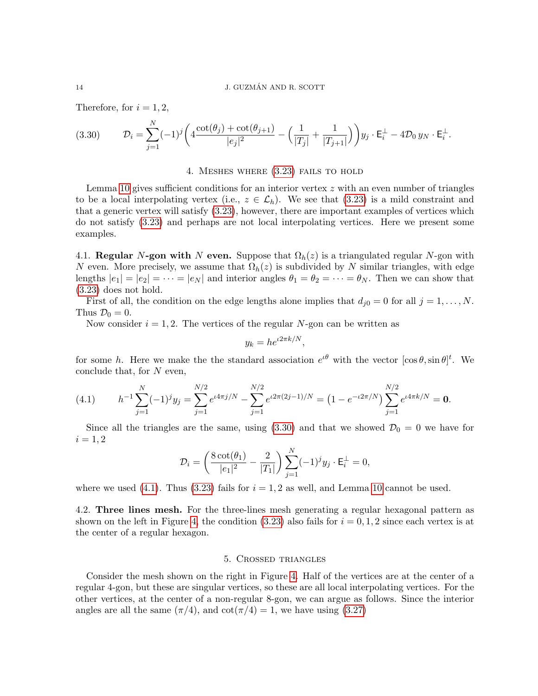Therefore, for  $i = 1, 2$ ,

<span id="page-13-0"></span>
$$
(3.30) \t\t \mathcal{D}_i = \sum_{j=1}^N (-1)^j \left( 4 \frac{\cot(\theta_j) + \cot(\theta_{j+1})}{|e_j|^2} - \left( \frac{1}{|T_j|} + \frac{1}{|T_{j+1}|} \right) \right) y_j \cdot \mathsf{E}_i^{\perp} - 4 \mathcal{D}_0 y_N \cdot \mathsf{E}_i^{\perp}.
$$

#### 4. Meshes where [\(3.23\)](#page-11-0) fails to hold

Lemma [10](#page-11-4) gives sufficient conditions for an interior vertex  $z$  with an even number of triangles to be a local interpolating vertex (i.e.,  $z \in \mathcal{L}_h$ ). We see that [\(3.23\)](#page-11-0) is a mild constraint and that a generic vertex will satisfy [\(3.23\)](#page-11-0), however, there are important examples of vertices which do not satisfy [\(3.23\)](#page-11-0) and perhaps are not local interpolating vertices. Here we present some examples.

4.1. Regular N-gon with N even. Suppose that  $\Omega_h(z)$  is a triangulated regular N-gon with N even. More precisely, we assume that  $\Omega_h(z)$  is subdivided by N similar triangles, with edge lengths  $|e_1| = |e_2| = \cdots = |e_N|$  and interior angles  $\theta_1 = \theta_2 = \cdots = \theta_N$ . Then we can show that [\(3.23\)](#page-11-0) does not hold.

First of all, the condition on the edge lengths alone implies that  $d_{j0} = 0$  for all  $j = 1, \ldots, N$ . Thus  $\mathcal{D}_0 = 0$ .

Now consider  $i = 1, 2$ . The vertices of the regular N-gon can be written as

$$
y_k = h e^{i2\pi k/N},
$$

for some h. Here we make the the standard association  $e^{i\theta}$  with the vector  $[\cos \theta, \sin \theta]^{t}$ . We conclude that, for  $N$  even,

<span id="page-13-1"></span>(4.1) 
$$
h^{-1} \sum_{j=1}^{N} (-1)^j y_j = \sum_{j=1}^{N/2} e^{i4\pi j/N} - \sum_{j=1}^{N/2} e^{i2\pi (2j-1)/N} = (1 - e^{-i2\pi/N}) \sum_{j=1}^{N/2} e^{i4\pi k/N} = \mathbf{0}.
$$

Since all the triangles are the same, using [\(3.30\)](#page-13-0) and that we showed  $\mathcal{D}_0 = 0$  we have for  $i = 1, 2$ 

$$
\mathcal{D}_i = \left(\frac{8\cot(\theta_1)}{|e_1|^2}-\frac{2}{|T_1|}\right)\sum_{j=1}^N(-1)^jy_j\cdot\mathsf{E}_i^{\perp}=0,
$$

where we used [\(4.1\)](#page-13-1). Thus [\(3.23\)](#page-11-0) fails for  $i = 1, 2$  as well, and Lemma [10](#page-11-4) cannot be used.

4.2. Three lines mesh. For the three-lines mesh generating a regular hexagonal pattern as shown on the left in Figure [4,](#page-14-1) the condition  $(3.23)$  also fails for  $i = 0, 1, 2$  since each vertex is at the center of a regular hexagon.

#### 5. Crossed triangles

Consider the mesh shown on the right in Figure [4.](#page-14-1) Half of the vertices are at the center of a regular 4-gon, but these are singular vertices, so these are all local interpolating vertices. For the other vertices, at the center of a non-regular 8-gon, we can argue as follows. Since the interior angles are all the same  $(\pi/4)$ , and  $\cot(\pi/4) = 1$ , we have using [\(3.27\)](#page-12-0)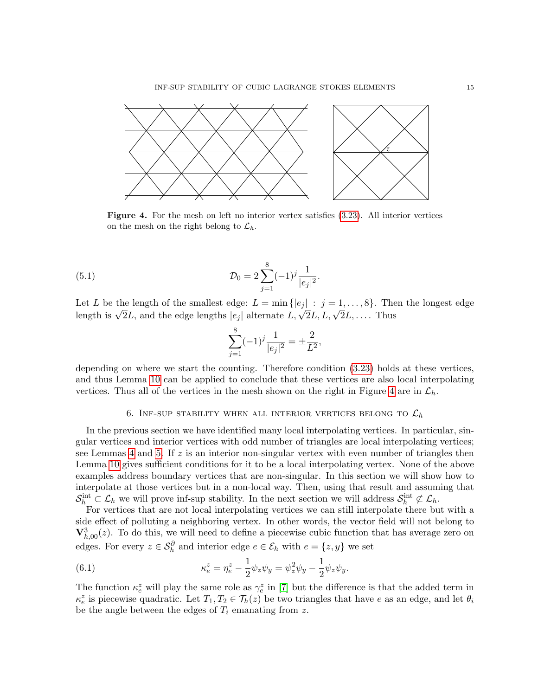<span id="page-14-1"></span>

Figure 4. For the mesh on left no interior vertex satisfies  $(3.23)$ . All interior vertices on the mesh on the right belong to  $\mathcal{L}_h$ .

(5.1) 
$$
\mathcal{D}_0 = 2 \sum_{j=1}^8 (-1)^j \frac{1}{|e_j|^2}.
$$

Let L be the length of the smallest edge:  $L = \min\{|e_i| : j = 1, \ldots, 8\}$ . Then the longest edge Let *L* be the length of the smallest edge:  $L = \min{\{|e_j| : j = 1, ..., \delta\}}$ . The length is  $\sqrt{2}L$ , and the edge lengths  $|e_j|$  alternate  $L, \sqrt{2}L, L, \sqrt{2}L, ...$  Thus

$$
\sum_{j=1}^{8} (-1)^j \frac{1}{|e_j|^2} = \pm \frac{2}{L^2},
$$

depending on where we start the counting. Therefore condition [\(3.23\)](#page-11-0) holds at these vertices, and thus Lemma [10](#page-11-4) can be applied to conclude that these vertices are also local interpolating vertices. Thus all of the vertices in the mesh shown on the right in Figure [4](#page-14-1) are in  $\mathcal{L}_h$ .

# 6. INF-SUP STABILITY WHEN ALL INTERIOR VERTICES BELONG TO  $\mathcal{L}_h$

<span id="page-14-0"></span>In the previous section we have identified many local interpolating vertices. In particular, singular vertices and interior vertices with odd number of triangles are local interpolating vertices; see Lemmas [4](#page-6-5) and [5.](#page-7-1) If  $z$  is an interior non-singular vertex with even number of triangles then Lemma [10](#page-11-4) gives sufficient conditions for it to be a local interpolating vertex. None of the above examples address boundary vertices that are non-singular. In this section we will show how to interpolate at those vertices but in a non-local way. Then, using that result and assuming that  $S_h^{\text{int}} \subset \mathcal{L}_h$  we will prove inf-sup stability. In the next section we will address  $S_h^{\text{int}} \not\subset \mathcal{L}_h$ .

For vertices that are not local interpolating vertices we can still interpolate there but with a side effect of polluting a neighboring vertex. In other words, the vector field will not belong to  $\mathbf{V}_{h,00}^3(z)$ . To do this, we will need to define a piecewise cubic function that has average zero on edges. For every  $z \in \mathcal{S}_h^{\partial}$  and interior edge  $e \in \mathcal{E}_h$  with  $e = \{z, y\}$  we set

<span id="page-14-2"></span>(6.1) 
$$
\kappa_e^z = \eta_e^z - \frac{1}{2} \psi_z \psi_y = \psi_z^2 \psi_y - \frac{1}{2} \psi_z \psi_y.
$$

The function  $\kappa_e^z$  will play the same role as  $\gamma_e^z$  in [\[7\]](#page-29-0) but the difference is that the added term in  $\kappa_e^z$  is piecewise quadratic. Let  $T_1, T_2 \in \mathcal{T}_h(z)$  be two triangles that have e as an edge, and let  $\theta_i$ be the angle between the edges of  $T_i$  emanating from z.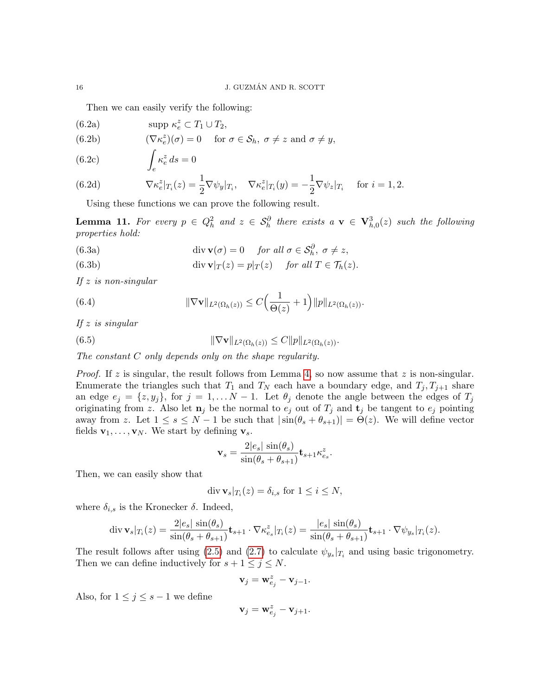Then we can easily verify the following:

- <span id="page-15-1"></span>(6.2a)  $\text{supp }\kappa_e^z \subset T_1 \cup T_2,$
- <span id="page-15-3"></span>(6.2b)  $(\nabla \kappa_e^z)(\sigma) = 0 \text{ for } \sigma \in \mathcal{S}_h, \ \sigma \neq z \text{ and } \sigma \neq y,$
- <span id="page-15-2"></span>Z e (6.2c)  $\int \kappa_e^z ds = 0$

<span id="page-15-4"></span>(6.2d) 
$$
\nabla \kappa_e^z|_{T_i}(z) = \frac{1}{2} \nabla \psi_y|_{T_i}, \quad \nabla \kappa_e^z|_{T_i}(y) = -\frac{1}{2} \nabla \psi_z|_{T_i} \quad \text{for } i = 1, 2.
$$

Using these functions we can prove the following result.

<span id="page-15-0"></span>**Lemma 11.** For every  $p \in Q_h^2$  and  $z \in S_h^{\partial}$  there exists  $a \mathbf{v} \in \mathbf{V}_{h,0}^3(z)$  such the following properties hold:

(6.3a) 
$$
\operatorname{div} \mathbf{v}(\sigma) = 0 \quad \text{for all } \sigma \in \mathcal{S}_h^{\partial}, \ \sigma \neq z,
$$

(6.3b) 
$$
\operatorname{div} \mathbf{v}|_T(z) = p|_T(z) \quad \text{for all } T \in \mathcal{T}_h(z).
$$

If  $z$  is non-singular

(6.4) 
$$
\|\nabla \mathbf{v}\|_{L^2(\Omega_h(z))} \leq C\Big(\frac{1}{\Theta(z)}+1\Big)\|p\|_{L^2(\Omega_h(z))}.
$$

If  $z$  is singular

(6.5) 
$$
\|\nabla \mathbf{v}\|_{L^2(\Omega_h(z))} \leq C \|p\|_{L^2(\Omega_h(z))}.
$$

The constant C only depends only on the shape regularity.

*Proof.* If z is singular, the result follows from Lemma [4,](#page-6-5) so now assume that z is non-singular. Enumerate the triangles such that  $T_1$  and  $T_N$  each have a boundary edge, and  $T_j, T_{j+1}$  share an edge  $e_j = \{z, y_j\}$ , for  $j = 1, \ldots N-1$ . Let  $\theta_j$  denote the angle between the edges of  $T_j$ originating from z. Also let  $\mathbf{n}_j$  be the normal to  $e_j$  out of  $T_j$  and  $\mathbf{t}_j$  be tangent to  $e_j$  pointing away from z. Let  $1 \leq s \leq N-1$  be such that  $|\sin(\theta_s + \theta_{s+1})| = \Theta(z)$ . We will define vector fields  $\mathbf{v}_1, \ldots, \mathbf{v}_N$ . We start by defining  $\mathbf{v}_s$ .

$$
\mathbf{v}_s = \frac{2|e_s| \sin(\theta_s)}{\sin(\theta_s + \theta_{s+1})} \mathbf{t}_{s+1} \kappa_{e_s}^z.
$$

Then, we can easily show that

$$
\operatorname{div} \mathbf{v}_s|_{T_i}(z) = \delta_{i,s} \text{ for } 1 \le i \le N,
$$

where  $\delta_{i,s}$  is the Kronecker  $\delta$ . Indeed,

$$
\operatorname{div} \mathbf{v}_s|_{T_i}(z) = \frac{2|e_s| \sin(\theta_s)}{\sin(\theta_s + \theta_{s+1})} \mathbf{t}_{s+1} \cdot \nabla \kappa_{e_s}^z|_{T_i}(z) = \frac{|e_s| \sin(\theta_s)}{\sin(\theta_s + \theta_{s+1})} \mathbf{t}_{s+1} \cdot \nabla \psi_{y_s}|_{T_i}(z).
$$

The result follows after using [\(2.5\)](#page-3-4) and [\(2.7\)](#page-3-3) to calculate  $\psi_{y_s}|_{T_i}$  and using basic trigonometry. Then we can define inductively for  $s + 1 \leq j \leq N$ .

$$
\mathbf{v}_j = \mathbf{w}_{e_j}^z - \mathbf{v}_{j-1}.
$$

Also, for  $1 \leq j \leq s-1$  we define

$$
\mathbf{v}_j = \mathbf{w}_{e_j}^z - \mathbf{v}_{j+1}.
$$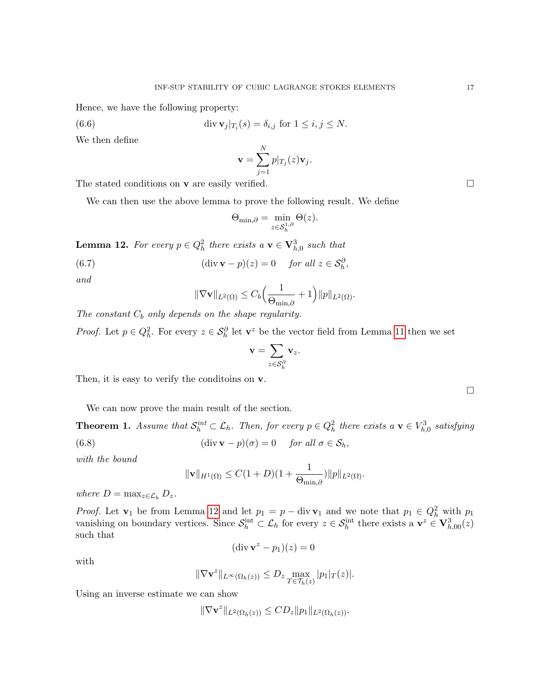Hence, we have the following property:

$$
(6.6)
$$

(6.6) div  $\mathbf{v}_j|_{T_i}(s) = \delta_{i,j}$  for  $1 \le i, j \le N$ .

We then define

$$
\mathbf{v} = \sum_{j=1}^N p|_{T_j}(z)\mathbf{v}_j.
$$

The stated conditions on **v** are easily verified.  $\Box$ 

We can then use the above lemma to prove the following result. We define

$$
\Theta_{\min,\partial} = \min_{z \in \mathcal{S}_h^{1,\partial}} \Theta(z).
$$

<span id="page-16-1"></span>**Lemma 12.** For every  $p \in Q_h^2$  there exists a  $\mathbf{v} \in \mathbf{V}_{h,0}^3$  such that

(6.7) 
$$
(\text{div }\mathbf{v} - p)(z) = 0 \quad \text{for all } z \in \mathcal{S}_h^{\partial},
$$

and

$$
\|\nabla \mathbf{v}\|_{L^2(\Omega)} \leq C_b \Big(\frac{1}{\Theta_{\min,\partial}} + 1\Big) \|p\|_{L^2(\Omega)}.
$$

The constant  $C_b$  only depends on the shape regularity.

*Proof.* Let  $p \in Q_h^2$ . For every  $z \in S_h^{\partial}$  let  $\mathbf{v}^z$  be the vector field from Lemma [11](#page-15-0) then we set

$$
\mathbf{v} = \sum_{z \in \mathcal{S}_h^{\partial}} \mathbf{v}_z.
$$

Then, it is easy to verify the conditions on  $\bf{v}$ .

We can now prove the main result of the section.

<span id="page-16-0"></span>**Theorem 1.** Assume that  $S_h^{int} \subset \mathcal{L}_h$ . Then, for every  $p \in Q_h^2$  there exists a  $\mathbf{v} \in V_{h,0}^3$  satisfying (6.8) (div **v** − p)( $\sigma$ ) = 0 for all  $\sigma \in S_h$ ,

with the bound

$$
\|\mathbf{v}\|_{H^1(\Omega)} \le C(1+D)(1+\frac{1}{\Theta_{\min,\partial}})\|p\|_{L^2(\Omega)}.
$$

where  $D = \max_{z \in \mathcal{L}_h} D_z$ .

*Proof.* Let  $\mathbf{v}_1$  be from Lemma [12](#page-16-1) and let  $p_1 = p - \text{div } \mathbf{v}_1$  and we note that  $p_1 \in Q_h^2$  with  $p_1$ vanishing on boundary vertices. Since  $S_h^{\text{int}} \subset \mathcal{L}_h$  for every  $z \in S_h^{\text{int}}$  there exists a  $\mathbf{v}^z \in \mathbf{V}_{h,00}^3(z)$ such that

$$
(\operatorname{div} \mathbf{v}^z - p_1)(z) = 0
$$

with

$$
\|\nabla \mathbf{v}^z\|_{L^\infty(\Omega_h(z))} \le D_z \max_{T \in \mathcal{T}_h(z)} |p_1|_T(z)|.
$$

Using an inverse estimate we can show

$$
\|\nabla \mathbf{v}^z\|_{L^2(\Omega_h(z))} \leq CD_z \|p_1\|_{L^2(\Omega_h(z))}.
$$

 $\Box$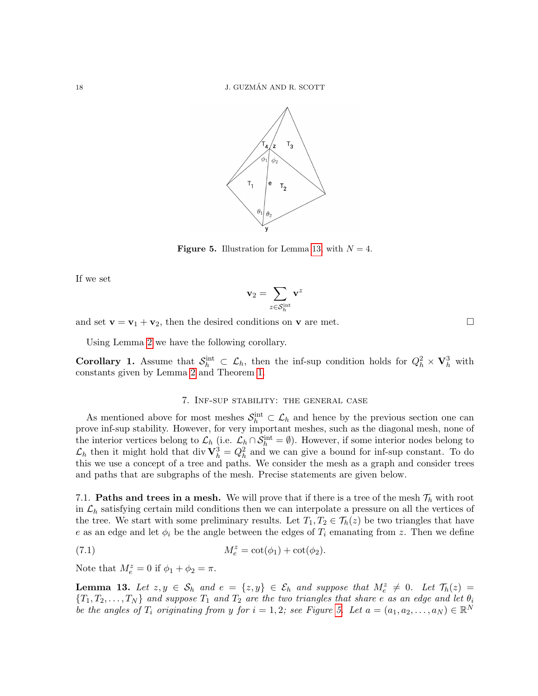<span id="page-17-2"></span>

**Figure 5.** Illustration for Lemma [13,](#page-17-1) with  $N = 4$ .

If we set

$$
\mathbf{v}_2=\sum_{z\in\mathcal{S}_h^{\text{int}}}\mathbf{v}^z
$$

and set  $\mathbf{v} = \mathbf{v}_1 + \mathbf{v}_2$ , then the desired conditions on  $\mathbf{v}$  are met.

Using Lemma [2](#page-4-2) we have the following corollary.

**Corollary 1.** Assume that  $S_h^{\text{int}} \subset \mathcal{L}_h$ , then the inf-sup condition holds for  $Q_h^2 \times \mathbf{V}_h^3$  with constants given by Lemma [2](#page-4-2) and Theorem [1.](#page-16-0)

# 7. Inf-sup stability: the general case

<span id="page-17-0"></span>As mentioned above for most meshes  $S_h^{\text{int}} \subset \mathcal{L}_h$  and hence by the previous section one can prove inf-sup stability. However, for very important meshes, such as the diagonal mesh, none of the interior vertices belong to  $\mathcal{L}_h$  (i.e.  $\mathcal{L}_h \cap \mathcal{S}_h^{\text{int}} = \emptyset$ ). However, if some interior nodes belong to  $\mathcal{L}_h$  then it might hold that div  $\mathbf{V}_h^3 = Q_h^2$  and we can give a bound for inf-sup constant. To do this we use a concept of a tree and paths. We consider the mesh as a graph and consider trees and paths that are subgraphs of the mesh. Precise statements are given below.

7.1. **Paths and trees in a mesh.** We will prove that if there is a tree of the mesh  $\mathcal{T}_h$  with root in  $\mathcal{L}_h$  satisfying certain mild conditions then we can interpolate a pressure on all the vertices of the tree. We start with some preliminary results. Let  $T_1, T_2 \in \mathcal{T}_h(z)$  be two triangles that have e as an edge and let  $\phi_i$  be the angle between the edges of  $T_i$  emanating from z. Then we define

(7.1) 
$$
M_e^z = \cot(\phi_1) + \cot(\phi_2).
$$

Note that  $M_e^z = 0$  if  $\phi_1 + \phi_2 = \pi$ .

<span id="page-17-1"></span>**Lemma 13.** Let  $z, y \in S_h$  and  $e = \{z, y\} \in \mathcal{E}_h$  and suppose that  $M_e^z \neq 0$ . Let  $\mathcal{T}_h(z) =$  ${T_1, T_2, \ldots, T_N}$  and suppose  $T_1$  and  $T_2$  are the two triangles that share e as an edge and let  $\theta_i$ be the angles of  $T_i$  originating from y for  $i = 1, 2$ ; see Figure [5.](#page-17-2) Let  $a = (a_1, a_2, \ldots, a_N) \in \mathbb{R}^N$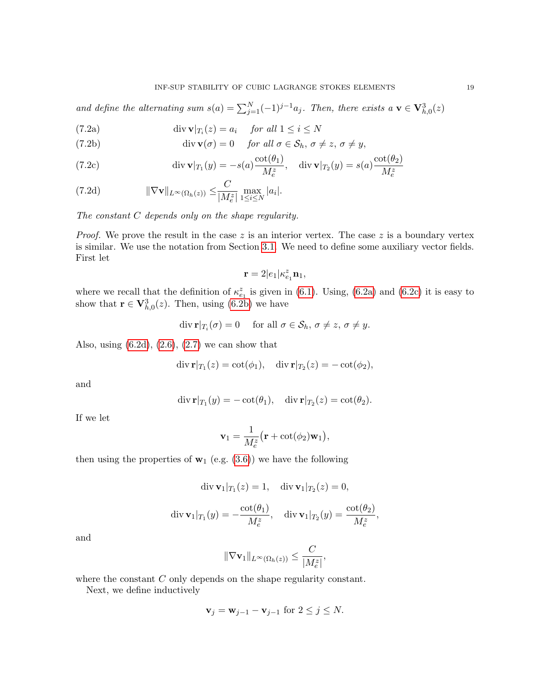and define the alternating sum  $s(a) = \sum_{j=1}^{N} (-1)^{j-1} a_j$ . Then, there exists  $a \mathbf{v} \in \mathbf{V}_{h,0}^3(z)$ 

(7.2a) 
$$
\operatorname{div} \mathbf{v}|_{T_i}(z) = a_i \quad \text{for all } 1 \le i \le N
$$

(7.2b) 
$$
\operatorname{div} \mathbf{v}(\sigma) = 0 \quad \text{for all } \sigma \in \mathcal{S}_h, \sigma \neq z, \sigma \neq y,
$$

(7.2c) 
$$
\operatorname{div} \mathbf{v}|_{T_1}(y) = -s(a)\frac{\cot(\theta_1)}{M_e^z}, \quad \operatorname{div} \mathbf{v}|_{T_2}(y) = s(a)\frac{\cot(\theta_2)}{M_e^z}
$$

(7.2d) 
$$
\|\nabla \mathbf{v}\|_{L^{\infty}(\Omega_h(z))} \leq \frac{C}{|M_e^z|} \max_{1 \leq i \leq N} |a_i|.
$$

The constant C depends only on the shape regularity.

*Proof.* We prove the result in the case z is an interior vertex. The case z is a boundary vertex is similar. We use the notation from Section [3.1.](#page-6-0) We need to define some auxiliary vector fields. First let

<span id="page-18-0"></span>
$$
\mathbf{r}=2|e_1|\kappa^z_{e_1}\mathbf{n}_1,
$$

where we recall that the definition of  $\kappa_{e_1}^z$  is given in [\(6.1\)](#page-14-2). Using, [\(6.2a\)](#page-15-1) and [\(6.2c\)](#page-15-2) it is easy to show that  $\mathbf{r} \in \mathbf{V}_{h,0}^3(z)$ . Then, using [\(6.2b\)](#page-15-3) we have

$$
\operatorname{div} \mathbf{r}|_{T_i}(\sigma) = 0 \quad \text{ for all } \sigma \in \mathcal{S}_h, \, \sigma \neq z, \, \sigma \neq y.
$$

Also, using  $(6.2d)$ ,  $(2.6)$ ,  $(2.7)$  we can show that

$$
\operatorname{div} \mathbf{r}|_{T_1}(z) = \operatorname{cot}(\phi_1), \quad \operatorname{div} \mathbf{r}|_{T_2}(z) = -\operatorname{cot}(\phi_2),
$$

and

$$
\operatorname{div} \mathbf{r}|_{T_1}(y) = -\cot(\theta_1), \quad \operatorname{div} \mathbf{r}|_{T_2}(z) = \cot(\theta_2).
$$

If we let

$$
\mathbf{v}_1 = \frac{1}{M_e^z} \big( \mathbf{r} + \cot(\phi_2) \mathbf{w}_1 \big),\,
$$

then using the properties of  $\mathbf{w}_1$  (e.g. [\(3.6\)](#page-6-6)) we have the following

$$
\operatorname{div} \mathbf{v}_1|_{T_1}(z) = 1, \quad \operatorname{div} \mathbf{v}_1|_{T_2}(z) = 0,
$$

$$
\operatorname{div} \mathbf{v}_1|_{T_1}(y) = -\frac{\cot(\theta_1)}{M_{\epsilon}^z}, \quad \operatorname{div} \mathbf{v}_1|_{T_2}(y) = \frac{\cot(\theta_2)}{M_{\epsilon}^z},
$$

and

$$
\|\nabla \mathbf{v}_1\|_{L^{\infty}(\Omega_h(z))} \leq \frac{C}{|M_{e}^z|},
$$

where the constant C only depends on the shape regularity constant.

Next, we define inductively

$$
\mathbf{v}_j = \mathbf{w}_{j-1} - \mathbf{v}_{j-1} \text{ for } 2 \le j \le N.
$$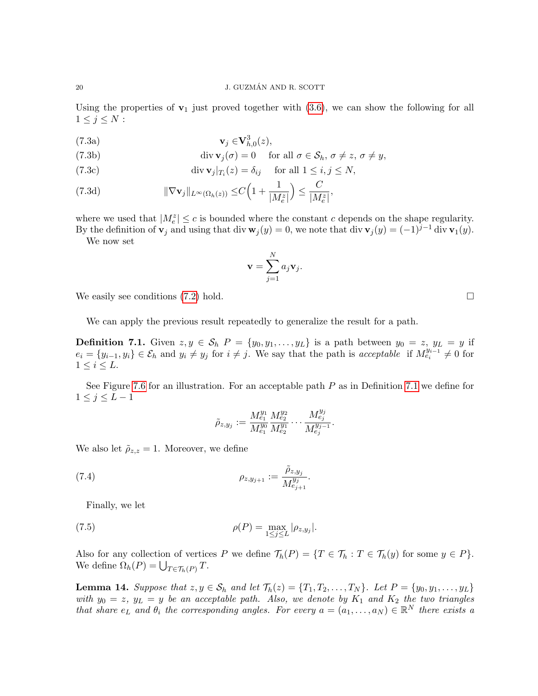Using the properties of  $v_1$  just proved together with [\(3.6\)](#page-6-6), we can show the following for all  $1 \leq j \leq N$ :

$$
\mathbf{v}_j \in \mathbf{V}_{h,0}^3(z),
$$

(7.3b) 
$$
\operatorname{div} \mathbf{v}_j(\sigma) = 0 \quad \text{for all } \sigma \in \mathcal{S}_h, \sigma \neq z, \sigma \neq y,
$$

(7.3c) 
$$
\operatorname{div} \mathbf{v}_j|_{T_i}(z) = \delta_{ij} \quad \text{ for all } 1 \le i, j \le N,
$$

(7.3d) 
$$
\|\nabla \mathbf{v}_j\|_{L^{\infty}(\Omega_h(z))} \leq C \Big(1 + \frac{1}{|M_{\epsilon}^z|}\Big) \leq \frac{C}{|M_{\epsilon}^z|},
$$

where we used that  $|M_e^z| \leq c$  is bounded where the constant c depends on the shape regularity. By the definition of  $\mathbf{v}_j$  and using that div  $\mathbf{w}_j(y) = 0$ , we note that div  $\mathbf{v}_j(y) = (-1)^{j-1}$  div  $\mathbf{v}_1(y)$ .

We now set

$$
\mathbf{v} = \sum_{j=1}^N a_j \mathbf{v}_j.
$$

We easily see conditions  $(7.2)$  hold.

We can apply the previous result repeatedly to generalize the result for a path.

<span id="page-19-0"></span>**Definition 7.1.** Given  $z, y \in S_h$   $P = \{y_0, y_1, \ldots, y_L\}$  is a path between  $y_0 = z$ ,  $y_L = y$  if  $e_i = \{y_{i-1}, y_i\} \in \mathcal{E}_h$  and  $y_i \neq y_j$  for  $i \neq j$ . We say that the path is acceptable if  $M_{e_i}^{y_{i-1}} \neq 0$  for  $1\leq i\leq L.$ 

See Figure [7.6](#page-20-0) for an illustration. For an acceptable path  $P$  as in Definition [7.1](#page-19-0) we define for  $1 \leq j \leq L-1$ 

<span id="page-19-1"></span>
$$
\tilde{\rho}_{z,y_j} := \frac{M_{e_1}^{y_1} M_{e_2}^{y_2}}{M_{e_1}^{y_0} M_{e_2}^{y_1}} \cdots \frac{M_{e_j}^{y_j}}{M_{e_j}^{y_{j-1}}}.
$$

We also let  $\tilde{\rho}_{z,z} = 1$ . Moreover, we define

(7.4) 
$$
\rho_{z,y_{j+1}} := \frac{\tilde{\rho}_{z,y_j}}{M_{e_{j+1}}^{y_j}}.
$$

Finally, we let

(7.5) 
$$
\rho(P) = \max_{1 \le j \le L} |\rho_{z,y_j}|.
$$

Also for any collection of vertices P we define  $\mathcal{T}_h(P) = \{T \in \mathcal{T}_h : T \in \mathcal{T}_h(y) \text{ for some } y \in P\}.$ We define  $\Omega_h(P) = \bigcup_{T \in \mathcal{T}_h(P)} T$ .

<span id="page-19-2"></span>**Lemma 14.** Suppose that  $z, y \in S_h$  and let  $\mathcal{T}_h(z) = \{T_1, T_2, \ldots, T_N\}$ . Let  $P = \{y_0, y_1, \ldots, y_L\}$ with  $y_0 = z$ ,  $y_L = y$  be an acceptable path. Also, we denote by  $K_1$  and  $K_2$  the two triangles that share  $e_L$  and  $\theta_i$  the corresponding angles. For every  $a = (a_1, \ldots, a_N) \in \mathbb{R}^N$  there exists a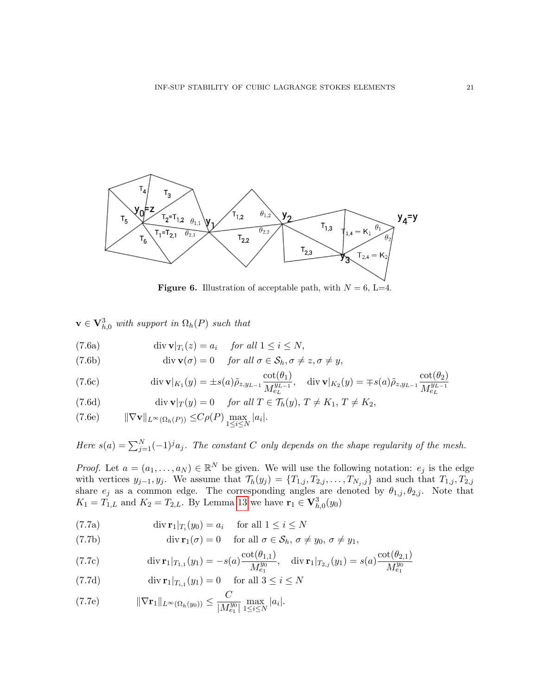

<span id="page-20-0"></span>**Figure 6.** Illustration of acceptable path, with  $N = 6$ , L=4.

 $\mathbf{v} \in \mathbf{V}_{h,0}^3$  with support in  $\Omega_h(P)$  such that

<span id="page-20-1"></span>(7.6a)  $\text{div } \mathbf{v}|_{T_i}(z) = a_i \quad \text{for all } 1 \leq i \leq N,$ 

(7.6b) 
$$
\operatorname{div} \mathbf{v}(\sigma) = 0 \quad \text{for all } \sigma \in \mathcal{S}_h, \sigma \neq z, \sigma \neq y,
$$

(7.6c) 
$$
\operatorname{div} \mathbf{v}|_{K_1}(y) = \pm s(a)\tilde{\rho}_{z,y_{L-1}} \frac{\cot(\theta_1)}{M_{e_L}^{y_{L-1}}}, \quad \operatorname{div} \mathbf{v}|_{K_2}(y) = \mp s(a)\tilde{\rho}_{z,y_{L-1}} \frac{\cot(\theta_2)}{M_{e_L}^{y_{L-1}}}
$$

<span id="page-20-2"></span>(7.6d) 
$$
\operatorname{div} \mathbf{v}|_T(y) = 0 \quad \text{for all } T \in \mathcal{T}_h(y), T \neq K_1, T \neq K_2,
$$

<span id="page-20-4"></span>(7.6e) 
$$
\|\nabla \mathbf{v}\|_{L^{\infty}(\Omega_h(P))} \leq C\rho(P) \max_{1 \leq i \leq N} |a_i|.
$$

Here  $s(a) = \sum_{j=1}^{N} (-1)^{j} a_j$ . The constant C only depends on the shape regularity of the mesh.

*Proof.* Let  $a = (a_1, \ldots, a_N) \in \mathbb{R}^N$  be given. We will use the following notation:  $e_j$  is the edge with vertices  $y_{j-1}, y_j$ . We assume that  $\mathcal{T}_h(y_j) = \{T_{1,j}, T_{2,j}, \ldots, T_{N_j,j}\}\$  and such that  $T_{1,j}, T_{2,j}$ share  $e_j$  as a common edge. The corresponding angles are denoted by  $\theta_{1,j}, \theta_{2,j}$ . Note that  $K_1 = T_{1,L}$  and  $K_2 = T_{2,L}$ . By Lemma [13](#page-17-1) we have  $\mathbf{r}_1 \in \mathbf{V}_{h,0}^3(y_0)$ 

<span id="page-20-3"></span>(7.7a) 
$$
\operatorname{div} \mathbf{r}_1|_{T_i}(y_0) = a_i \quad \text{ for all } 1 \le i \le N
$$

(7.7b) 
$$
\operatorname{div} \mathbf{r}_1(\sigma) = 0 \quad \text{for all } \sigma \in \mathcal{S}_h, \sigma \neq y_0, \sigma \neq y_1,
$$

(7.7c) 
$$
\operatorname{div} \mathbf{r}_1|_{T_{1,1}}(y_1) = -s(a) \frac{\cot(\theta_{1,1})}{M_{e_1}^{y_0}}, \quad \operatorname{div} \mathbf{r}_1|_{T_{2,j}}(y_1) = s(a) \frac{\cot(\theta_{2,1})}{M_{e_1}^{y_0}}
$$

(7.7d) 
$$
\operatorname{div} \mathbf{r}_1|_{T_{i,1}}(y_1) = 0 \quad \text{for all } 3 \le i \le N
$$

<span id="page-20-5"></span>(7.7e) 
$$
\|\nabla \mathbf{r}_1\|_{L^{\infty}(\Omega_h(y_0))} \leq \frac{C}{|M_{e_1}^{y_0}|} \max_{1 \leq i \leq N} |a_i|.
$$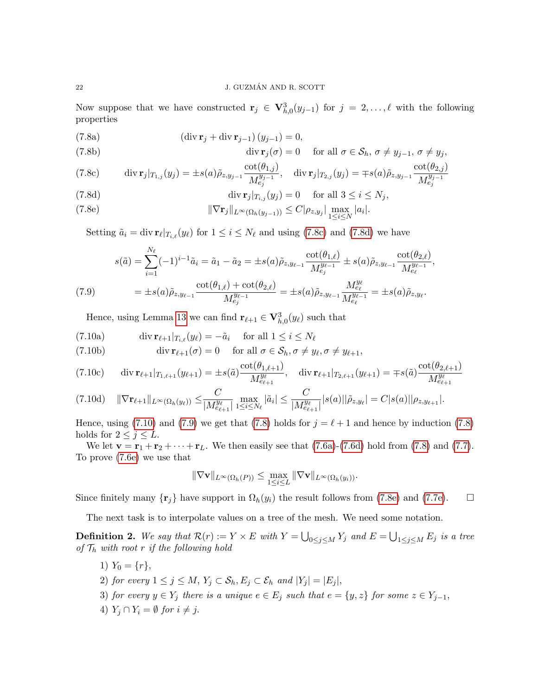<span id="page-21-4"></span>Now suppose that we have constructed  $\mathbf{r}_j \in \mathbf{V}_{h,0}^3(y_{j-1})$  for  $j = 2,\ldots,\ell$  with the following properties

(7.8a) 
$$
(\operatorname{div} \mathbf{r}_j + \operatorname{div} \mathbf{r}_{j-1})(y_{j-1}) = 0,
$$

(7.8b) 
$$
\operatorname{div} \mathbf{r}_j(\sigma) = 0 \quad \text{for all } \sigma \in \mathcal{S}_h, \sigma \neq y_{j-1}, \sigma \neq y_j,
$$

<span id="page-21-0"></span>(7.8c) 
$$
\operatorname{div} \mathbf{r}_j|_{T_{1,j}}(y_j) = \pm s(a)\tilde{\rho}_{z,y_{j-1}} \frac{\cot(\theta_{1,j})}{M_{e_j}^{y_{j-1}}}, \quad \operatorname{div} \mathbf{r}_j|_{T_{2,j}}(y_j) = \mp s(a)\tilde{\rho}_{z,y_{j-1}} \frac{\cot(\theta_{2,j})}{M_{e_j}^{y_{j-1}}}
$$

<span id="page-21-1"></span>(7.8d) 
$$
\operatorname{div} \mathbf{r}_j|_{T_{i,j}}(y_j) = 0 \quad \text{ for all } 3 \leq i \leq N_j,
$$

<span id="page-21-5"></span>(7.8e) 
$$
\|\nabla \mathbf{r}_j\|_{L^{\infty}(\Omega_h(y_{j-1}))} \leq C |\rho_{z,y_j}| \max_{1 \leq i \leq N} |a_i|.
$$

Setting  $\tilde{a}_i = \text{div } \mathbf{r}_{\ell}|_{T_{i,\ell}}(y_{\ell})$  for  $1 \leq i \leq N_{\ell}$  and using [\(7.8c\)](#page-21-0) and [\(7.8d\)](#page-21-1) we have

<span id="page-21-3"></span>
$$
s(\tilde{a}) = \sum_{i=1}^{N_{\ell}} (-1)^{i-1} \tilde{a}_i = \tilde{a}_1 - \tilde{a}_2 = \pm s(a) \tilde{\rho}_{z, y_{\ell-1}} \frac{\cot(\theta_{1,\ell})}{M_{e_j}^{y_{\ell-1}}} \pm s(a) \tilde{\rho}_{z, y_{\ell-1}} \frac{\cot(\theta_{2,\ell})}{M_{e_\ell}^{y_{\ell-1}}},
$$
  
\n(7.9) 
$$
= \pm s(a) \tilde{\rho}_{z, y_{\ell-1}} \frac{\cot(\theta_{1,\ell}) + \cot(\theta_{2,\ell})}{M_{e_j}^{y_{\ell-1}}} = \pm s(a) \tilde{\rho}_{z, y_{\ell-1}} \frac{M_{e_\ell}^{y_{\ell}}}{M_{e_\ell}^{y_{\ell-1}}} = \pm s(a) \tilde{\rho}_{z, y_{\ell}}.
$$

Hence, using Lemma [13](#page-17-1) we can find  $\mathbf{r}_{\ell+1} \in \mathbf{V}_{h,0}^3(y_\ell)$  such that

(7.10a) 
$$
\operatorname{div} \mathbf{r}_{\ell+1} |_{T_{i,\ell}}(y_\ell) = -\tilde{a}_i \quad \text{ for all } 1 \leq i \leq N_\ell
$$

(7.10b) 
$$
\operatorname{div} \mathbf{r}_{\ell+1}(\sigma) = 0 \quad \text{for all } \sigma \in \mathcal{S}_h, \sigma \neq y_\ell, \sigma \neq y_{\ell+1},
$$

$$
(7.10c) \quad \text{div } \mathbf{r}_{\ell+1}|_{T_{1,\ell+1}}(y_{\ell+1}) = \pm s(\tilde{a}) \frac{\cot(\theta_{1,\ell+1})}{M_{e_{\ell+1}}^{y_{\ell}}}, \quad \text{div } \mathbf{r}_{\ell+1}|_{T_{2,\ell+1}}(y_{\ell+1}) = \mp s(\tilde{a}) \frac{\cot(\theta_{2,\ell+1})}{M_{e_{\ell+1}}^{y_{\ell}}}
$$

$$
(7.10d) \quad \|\nabla \mathbf{r}_{\ell+1}\|_{L^{\infty}(\Omega_h(y_{\ell}))} \leq \frac{C}{|M_{e_{\ell+1}}^{y_{\ell}}|} \max_{1 \leq i \leq N_{\ell}} |\tilde{a}_i| \leq \frac{C}{|M_{e_{\ell+1}}^{y_{\ell}}|} |s(a)| |\tilde{\rho}_{z,y_{\ell}}| = C|s(a)| |\rho_{z,y_{\ell+1}}|.
$$

Hence, using [\(7.10\)](#page-21-2) and [\(7.9\)](#page-21-3) we get that [\(7.8\)](#page-21-4) holds for  $j = \ell + 1$  and hence by induction (7.8) holds for  $2 \leq j \leq L$ .

We let  $\mathbf{v} = \mathbf{r}_1 + \mathbf{r}_2 + \cdots + \mathbf{r}_L$ . We then easily see that [\(7.6a\)](#page-20-1)-[\(7.6d\)](#page-20-2) hold from [\(7.8\)](#page-21-4) and [\(7.7\)](#page-20-3). To prove [\(7.6e\)](#page-20-4) we use that

<span id="page-21-2"></span>
$$
\|\nabla \mathbf{v}\|_{L^{\infty}(\Omega_h(P))} \leq \max_{1 \leq i \leq L} \|\nabla \mathbf{v}\|_{L^{\infty}(\Omega_h(y_i))}.
$$

Since finitely many  $\{r_j\}$  have support in  $\Omega_h(y_i)$  the result follows from [\(7.8e\)](#page-21-5) and [\(7.7e\)](#page-20-5).  $\Box$ 

The next task is to interpolate values on a tree of the mesh. We need some notation.

**Definition 2.** We say that  $\mathcal{R}(r) := Y \times E$  with  $Y = \bigcup_{0 \leq j \leq M} Y_j$  and  $E = \bigcup_{1 \leq j \leq M} E_j$  is a tree of  $\mathcal{T}_h$  with root r if the following hold

- 1)  $Y_0 = \{r\},\$
- 2) for every  $1 \leq j \leq M$ ,  $Y_j \subset \mathcal{S}_h$ ,  $E_j \subset \mathcal{E}_h$  and  $|Y_j| = |E_j|$ ,
- 3) for every  $y \in Y_j$  there is a unique  $e \in E_j$  such that  $e = \{y, z\}$  for some  $z \in Y_{j-1}$ ,
- 4)  $Y_i \cap Y_i = \emptyset$  for  $i \neq j$ .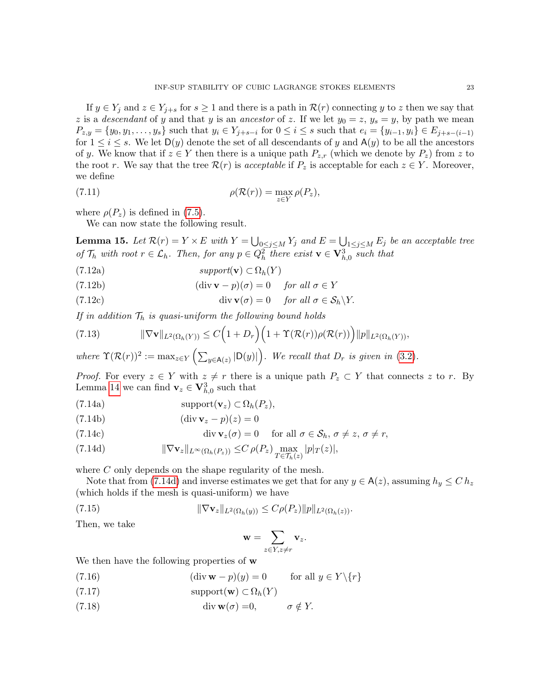If  $y \in Y_j$  and  $z \in Y_{j+s}$  for  $s \ge 1$  and there is a path in  $\mathcal{R}(r)$  connecting y to z then we say that z is a *descendant* of y and that y is an *ancestor* of z. If we let  $y_0 = z$ ,  $y_s = y$ , by path we mean  $P_{z,y} = \{y_0, y_1, \ldots, y_s\}$  such that  $y_i \in Y_{j+s-i}$  for  $0 \le i \le s$  such that  $e_i = \{y_{i-1}, y_i\} \in E_{j+s-(i-1)}$ for  $1 \leq i \leq s$ . We let  $D(y)$  denote the set of all descendants of y and  $A(y)$  to be all the ancestors of y. We know that if  $z \in Y$  then there is a unique path  $P_{z,r}$  (which we denote by  $P_z$ ) from z to the root r. We say that the tree  $\mathcal{R}(r)$  is acceptable if  $P_z$  is acceptable for each  $z \in Y$ . Moreover, we define

(7.11) 
$$
\rho(\mathcal{R}(r)) = \max_{z \in Y} \rho(P_z),
$$

where  $\rho(P_z)$  is defined in [\(7.5\)](#page-19-1).

We can now state the following result.

<span id="page-22-7"></span>**Lemma 15.** Let  $\mathcal{R}(r) = Y \times E$  with  $Y = \bigcup_{0 \leq j \leq M} Y_j$  and  $E = \bigcup_{1 \leq j \leq M} E_j$  be an acceptable tree of  $\mathcal{T}_h$  with root  $r \in \mathcal{L}_h$ . Then, for any  $p \in Q_h^2$  there exist  $\mathbf{v} \in \mathbf{V}_{h,0}^3$  such that

- <span id="page-22-1"></span>(7.12a)  $support(\mathbf{v}) \subset \Omega_h(Y)$
- <span id="page-22-2"></span>(7.12b) (div **v** − p)( $\sigma$ ) = 0 for all  $\sigma \in Y$
- <span id="page-22-3"></span>(7.12c)  $\text{div } \mathbf{v}(\sigma) = 0 \quad \text{for all } \sigma \in \mathcal{S}_h \backslash Y.$

If in addition  $\mathcal{T}_h$  is quasi-uniform the following bound holds

<span id="page-22-4"></span>(7.13) 
$$
\|\nabla \mathbf{v}\|_{L^2(\Omega_h(Y))} \leq C\Big(1+D_r\Big)\Big(1+\Upsilon(\mathcal{R}(r))\rho(\mathcal{R}(r))\Big)\|p\|_{L^2(\Omega_h(Y))},
$$

where  $\Upsilon(\mathcal{R}(r))^2 := \max_{z \in Y} \left( \sum_{y \in A(z)} |D(y)| \right)$ . We recall that  $D_r$  is given in [\(3.2\)](#page-5-2).

*Proof.* For every  $z \in Y$  with  $z \neq r$  there is a unique path  $P_z \subset Y$  that connects z to r. By Lemma [14](#page-19-2) we can find  $\mathbf{v}_z \in \mathbf{V}_{h,0}^3$  such that

<span id="page-22-5"></span>(7.14a) 
$$
\text{support}(\mathbf{v}_z) \subset \Omega_h(P_z),
$$

$$
(7.14b) \qquad \qquad (\text{div } \mathbf{v}_z - p)(z) = 0
$$

(7.14c) 
$$
\operatorname{div} \mathbf{v}_z(\sigma) = 0 \quad \text{for all } \sigma \in \mathcal{S}_h, \sigma \neq z, \sigma \neq r,
$$

<span id="page-22-0"></span>(7.14d) 
$$
\|\nabla \mathbf{v}_z\|_{L^{\infty}(\Omega_h(P_z))} \leq C \rho(P_z) \max_{T \in \mathcal{T}_h(z)} |p|_T(z)|,
$$

where C only depends on the shape regularity of the mesh.

Note that from [\(7.14d\)](#page-22-0) and inverse estimates we get that for any  $y \in A(z)$ , assuming  $h_y \leq C h_z$ (which holds if the mesh is quasi-uniform) we have

(7.15) 
$$
\|\nabla \mathbf{v}_z\|_{L^2(\Omega_h(y))} \leq C\rho(P_z) \|p\|_{L^2(\Omega_h(z))}.
$$

Then, we take

<span id="page-22-6"></span>
$$
\mathbf{w} = \sum_{z \in Y, z \neq r} \mathbf{v}_z.
$$

We then have the following properties of w

- (7.16) (div **w** − p)(y) = 0 for all  $y \in Y \setminus \{r\}$
- (7.17)  $\text{support}(\mathbf{w}) \subset \Omega_h(Y)$
- (7.18)  $\text{div } \mathbf{w}(\sigma) = 0, \qquad \sigma \notin Y.$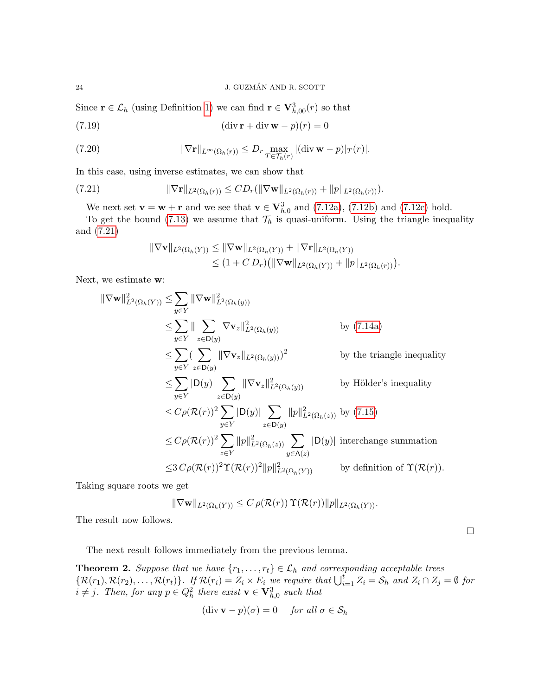Since  $\mathbf{r} \in \mathcal{L}_h$  (using Definition [1\)](#page-5-6) we can find  $\mathbf{r} \in \mathbf{V}_{h,00}^3(r)$  so that

(7.19) 
$$
(\text{div }\mathbf{r} + \text{div }\mathbf{w} - p)(r) = 0
$$

(7.20) 
$$
\|\nabla \mathbf{r}\|_{L^{\infty}(\Omega_h(r))} \leq D_r \max_{T \in \mathcal{T}_h(r)} |(\text{div}\,\mathbf{w}-p)|_T(r)|.
$$

In this case, using inverse estimates, we can show that

(7.21) 
$$
\|\nabla \mathbf{r}\|_{L^2(\Omega_h(r))} \leq CD_r(\|\nabla \mathbf{w}\|_{L^2(\Omega_h(r))} + \|p\|_{L^2(\Omega_h(r))}).
$$

We next set  $\mathbf{v} = \mathbf{w} + \mathbf{r}$  and we see that  $\mathbf{v} \in \mathbf{V}_{h,0}^3$  and [\(7.12a\)](#page-22-1), [\(7.12b\)](#page-22-2) and [\(7.12c\)](#page-22-3) hold.

To get the bound [\(7.13\)](#page-22-4) we assume that  $\mathcal{T}_h$  is quasi-uniform. Using the triangle inequality and [\(7.21\)](#page-23-1)

<span id="page-23-1"></span>
$$
\|\nabla \mathbf{v}\|_{L^{2}(\Omega_{h}(Y))} \leq \|\nabla \mathbf{w}\|_{L^{2}(\Omega_{h}(Y))} + \|\nabla \mathbf{r}\|_{L^{2}(\Omega_{h}(Y))}
$$
  
\n
$$
\leq (1 + C D_{r}) \big( \|\nabla \mathbf{w}\|_{L^{2}(\Omega_{h}(Y))} + \|p\|_{L^{2}(\Omega_{h}(r))} \big).
$$

Next, we estimate w:

$$
\|\nabla \mathbf{w}\|_{L^{2}(\Omega_{h}(Y))}^{2} \leq \sum_{y \in Y} \|\nabla \mathbf{w}\|_{L^{2}(\Omega_{h}(y))}^{2}
$$
\n
$$
\leq \sum_{y \in Y} \|\sum_{z \in \mathsf{D}(y)} \nabla \mathbf{v}_{z}\|_{L^{2}(\Omega_{h}(y))}^{2} \qquad \text{by (7.14a)}
$$
\n
$$
\leq \sum_{y \in Y} (\sum_{z \in \mathsf{D}(y)} \|\nabla \mathbf{v}_{z}\|_{L^{2}(\Omega_{h}(y))})^{2} \qquad \text{by the triangle inequality}
$$
\n
$$
\leq \sum_{y \in Y} |\mathsf{D}(y)| \sum_{z \in \mathsf{D}(y)} \|\nabla \mathbf{v}_{z}\|_{L^{2}(\Omega_{h}(y))}^{2} \qquad \text{by Hölder's inequality}
$$
\n
$$
\leq C\rho(\mathcal{R}(r))^{2} \sum_{y \in Y} |\mathsf{D}(y)| \sum_{z \in \mathsf{D}(y)} ||p||_{L^{2}(\Omega_{h}(z))}^{2} \qquad \text{by (7.15)}
$$
\n
$$
\leq C\rho(\mathcal{R}(r))^{2} \sum_{z \in Y} ||p||_{L^{2}(\Omega_{h}(z))}^{2} \sum_{y \in \mathsf{A}(z)} |\mathsf{D}(y)| \text{ interchange summation}
$$
\n
$$
\leq 3 C\rho(\mathcal{R}(r))^{2} \Upsilon(\mathcal{R}(r))^{2} ||p||_{L^{2}(\Omega_{h}(Y))}^{2} \qquad \text{by definition of } \Upsilon(\mathcal{R}(r)).
$$

Taking square roots we get

$$
\|\nabla \mathbf{w}\|_{L^2(\Omega_h(Y))} \leq C \,\rho(\mathcal{R}(r)) \,\Upsilon(\mathcal{R}(r)) \|p\|_{L^2(\Omega_h(Y))}.
$$

The result now follows.

The next result follows immediately from the previous lemma.

<span id="page-23-0"></span>**Theorem 2.** Suppose that we have  $\{r_1, \ldots, r_t\} \in \mathcal{L}_h$  and corresponding acceptable trees  $\{\mathcal{R}(r_1), \mathcal{R}(r_2), \ldots, \mathcal{R}(r_t)\}\$ . If  $\mathcal{R}(r_i) = Z_i \times E_i$  we require that  $\bigcup_{i=1}^t Z_i = \mathcal{S}_h$  and  $Z_i \cap Z_j = \emptyset$  for  $i \neq j$ . Then, for any  $p \in Q_h^2$  there exist  $\mathbf{v} \in \mathbf{V}_{h,0}^3$  such that

$$
(\text{div }\mathbf{v} - p)(\sigma) = 0 \quad \text{for all } \sigma \in \mathcal{S}_h
$$

 $\Box$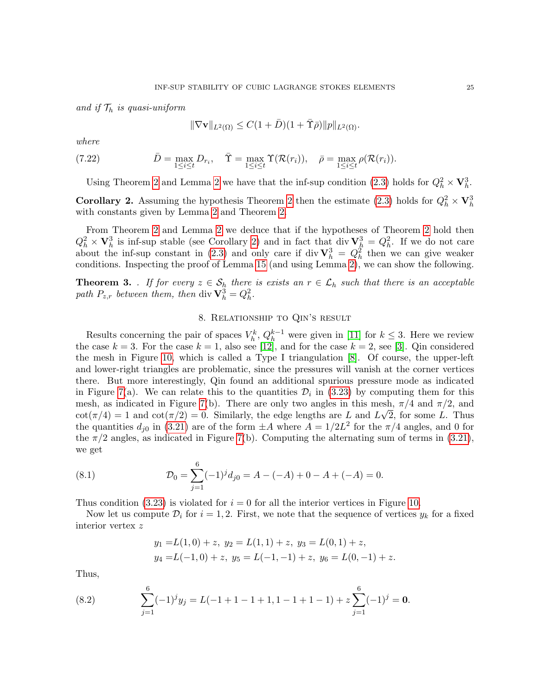and if  $\mathcal{T}_h$  is quasi-uniform

$$
\|\nabla \mathbf{v}\|_{L^2(\Omega)} \le C(1+\bar{D})(1+\bar{\Upsilon}\bar{\rho})\|p\|_{L^2(\Omega)}.
$$

where

(7.22) 
$$
\bar{D} = \max_{1 \leq i \leq t} D_{r_i}, \quad \bar{\Upsilon} = \max_{1 \leq i \leq t} \Upsilon(\mathcal{R}(r_i)), \quad \bar{\rho} = \max_{1 \leq i \leq t} \rho(\mathcal{R}(r_i)).
$$

Using Theorem [2](#page-4-2) and Lemma 2 we have that the inf-sup condition [\(2.3\)](#page-2-0) holds for  $Q_h^2 \times \mathbf{V}_h^3$ .

<span id="page-24-1"></span>**Corollary [2](#page-23-0).** Assuming the hypothesis Theorem 2 then the estimate [\(2.3\)](#page-2-0) holds for  $Q_h^2 \times \mathbf{V}_h^3$ with constants given by Lemma [2](#page-4-2) and Theorem [2.](#page-23-0)

From Theorem [2](#page-23-0) and Lemma [2](#page-4-2) we deduce that if the hypotheses of Theorem [2](#page-23-0) hold then  $Q_h^2 \times \mathbf{V}_h^3$  is inf-sup stable (see Corollary [2\)](#page-24-1) and in fact that div  $\mathbf{V}_h^3 = Q_h^2$ . If we do not care about the inf-sup constant in [\(2.3\)](#page-2-0) and only care if div  $\mathbf{V}_h^3 = Q_h^2$  then we can give weaker conditions. Inspecting the proof of Lemma [15](#page-22-7) (and using Lemma [2\)](#page-4-2), we can show the following.

<span id="page-24-4"></span>**Theorem 3.** . If for every  $z \in S_h$  there is exists an  $r \in L_h$  such that there is an acceptable path  $P_{z,r}$  between them, then div  $\mathbf{V}_h^3 = Q_h^2$ .

## 8. Relationship to Qin's result

<span id="page-24-0"></span>Results concerning the pair of spaces  $V_h^k$ ,  $Q_h^{k-1}$  were given in [\[11\]](#page-30-2) for  $k \leq 3$ . Here we review the case  $k = 3$ . For the case  $k = 1$ , also see [\[12\]](#page-30-4), and for the case  $k = 2$ , see [\[3\]](#page-29-6). Qin considered the mesh in Figure [10,](#page-29-7) which is called a Type I triangulation [\[8\]](#page-29-8). Of course, the upper-left and lower-right triangles are problematic, since the pressures will vanish at the corner vertices there. But more interestingly, Qin found an additional spurious pressure mode as indicated in Figure [7\(](#page-25-1)a). We can relate this to the quantities  $\mathcal{D}_i$  in [\(3.23\)](#page-11-0) by computing them for this mesh, as indicated in Figure [7\(](#page-25-1)b). There are only two angles in this mesh,  $\pi/4$  and  $\pi/2$ , and  $\cot(\pi/4) = 1$  and  $\cot(\pi/2) = 0$ . Similarly, the edge lengths are L and  $L\sqrt{2}$ , for some L. Thus the quantities  $d_{j0}$  in [\(3.21\)](#page-10-3) are of the form  $\pm A$  where  $A = 1/2L^2$  for the  $\pi/4$  angles, and 0 for the  $\pi/2$  angles, as indicated in Figure [7\(](#page-25-1)b). Computing the alternating sum of terms in [\(3.21\)](#page-10-3), we get

(8.1) 
$$
\mathcal{D}_0 = \sum_{j=1}^6 (-1)^j d_{j0} = A - (-A) + 0 - A + (-A) = 0.
$$

Thus condition [\(3.23\)](#page-11-0) is violated for  $i = 0$  for all the interior vertices in Figure [10.](#page-29-7)

Now let us compute  $\mathcal{D}_i$  for  $i = 1, 2$ . First, we note that the sequence of vertices  $y_k$  for a fixed interior vertex z

<span id="page-24-3"></span><span id="page-24-2"></span>
$$
y_1 = L(1,0) + z
$$
,  $y_2 = L(1,1) + z$ ,  $y_3 = L(0,1) + z$ ,  
\n $y_4 = L(-1,0) + z$ ,  $y_5 = L(-1,-1) + z$ ,  $y_6 = L(0,-1) + z$ .

Thus,

(8.2) 
$$
\sum_{j=1}^{6} (-1)^j y_j = L(-1+1-1+1, 1-1+1-1) + z \sum_{j=1}^{6} (-1)^j = \mathbf{0}.
$$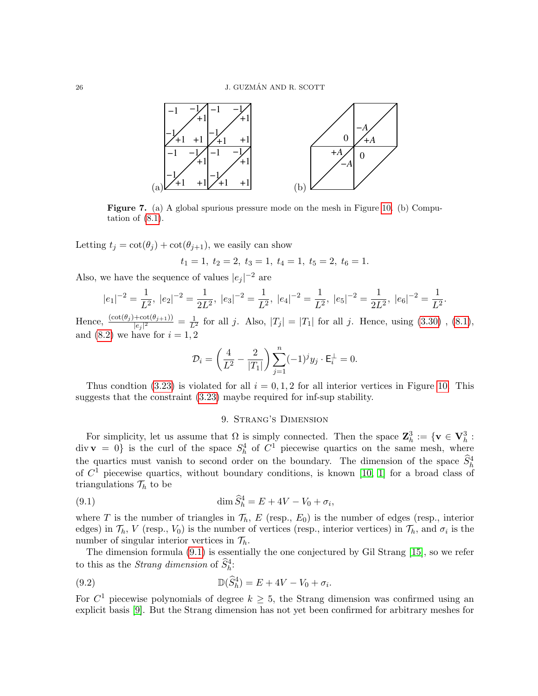<span id="page-25-1"></span>

Figure 7. (a) A global spurious pressure mode on the mesh in Figure [10.](#page-29-7) (b) Computation of  $(8.1)$ .

Letting  $t_j = \cot(\theta_j) + \cot(\theta_{j+1})$ , we easily can show

$$
t_1 = 1, t_2 = 2, t_3 = 1, t_4 = 1, t_5 = 2, t_6 = 1.
$$

Also, we have the sequence of values  $|e_j|^{-2}$  are

$$
|e_1|^{-2} = \frac{1}{L^2}
$$
,  $|e_2|^{-2} = \frac{1}{2L^2}$ ,  $|e_3|^{-2} = \frac{1}{L^2}$ ,  $|e_4|^{-2} = \frac{1}{L^2}$ ,  $|e_5|^{-2} = \frac{1}{2L^2}$ ,  $|e_6|^{-2} = \frac{1}{L^2}$ .

Hence,  $\frac{(\cot(\theta_j)+\cot(\theta_{j+1}))}{|e_j|^2} = \frac{1}{L^2}$  for all j. Also,  $|T_j| = |T_1|$  for all j. Hence, using [\(3.30\)](#page-13-0), [\(8.1\)](#page-24-2), and  $(8.2)$  we have for  $i = 1, 2$ 

$$
\mathcal{D}_i = \left(\frac{4}{L^2} - \frac{2}{|T_1|}\right) \sum_{j=1}^n (-1)^j y_j \cdot \mathsf{E}_i^{\perp} = 0.
$$

Thus condtion [\(3.23\)](#page-11-0) is violated for all  $i = 0, 1, 2$  for all interior vertices in Figure [10.](#page-29-7) This suggests that the constraint [\(3.23\)](#page-11-0) maybe required for inf-sup stability.

# <span id="page-25-2"></span>9. Strang's Dimension

<span id="page-25-0"></span>For simplicity, let us assume that  $\Omega$  is simply connected. Then the space  $\mathbb{Z}_h^3 := \{ \mathbf{v} \in \mathbf{V}_h^3 : \mathbf{v} \in \mathbf{V}_h^3 \}$  $div \mathbf{v} = 0$  is the curl of the space  $S_h^4$  of  $C^1$  piecewise quartics on the same mesh, where the quartics must vanish to second order on the boundary. The dimension of the space  $\hat{S}_h^4$ of  $C<sup>1</sup>$  piecewise quartics, without boundary conditions, is known [\[10,](#page-29-2) [1\]](#page-29-3) for a broad class of triangulations  $\mathcal{T}_h$  to be

(9.1) 
$$
\dim \hat{S}_h^4 = E + 4V - V_0 + \sigma_i,
$$

where T is the number of triangles in  $\mathcal{T}_h$ , E (resp.,  $E_0$ ) is the number of edges (resp., interior edges) in  $\mathcal{T}_h$ , V (resp.,  $V_0$ ) is the number of vertices (resp., interior vertices) in  $\mathcal{T}_h$ , and  $\sigma_i$  is the number of singular interior vertices in  $\mathcal{T}_h$ .

The dimension formula [\(9.1\)](#page-25-2) is essentially the one conjectured by Gil Strang [\[15\]](#page-30-5), so we refer to this as the *Strang dimension* of  $\widehat{S}_{h}^{4}$ :

(9.2) 
$$
\mathbb{D}(\widehat{S}_{h}^{4}) = E + 4V - V_{0} + \sigma_{i}.
$$

For  $C^1$  piecewise polynomials of degree  $k \geq 5$ , the Strang dimension was confirmed using an explicit basis [\[9\]](#page-29-5). But the Strang dimension has not yet been confirmed for arbitrary meshes for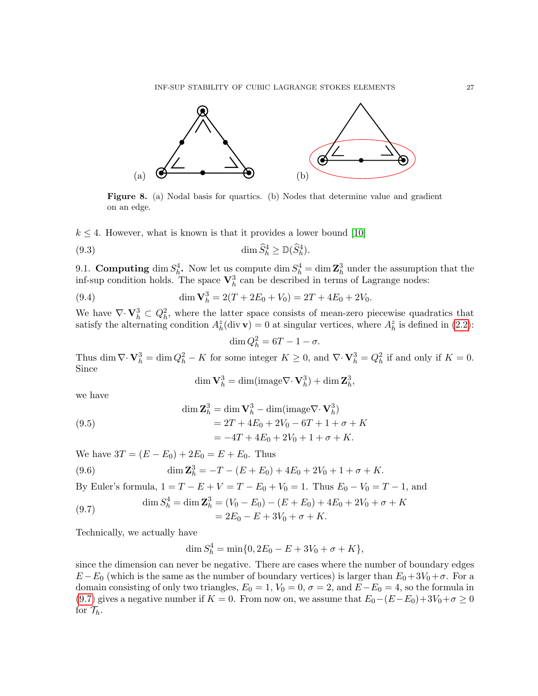<span id="page-26-1"></span>

Figure 8. (a) Nodal basis for quartics. (b) Nodes that determine value and gradient on an edge.

 $k \leq 4$ . However, what is known is that it provides a lower bound [\[10\]](#page-29-2)

(9.3) 
$$
\dim \widehat{S}_h^4 \geq \mathbb{D}(\widehat{S}_h^4).
$$

9.1. Computing dim  $S_h^4$ . Now let us compute dim  $S_h^4 = \dim \mathbb{Z}_h^3$  under the assumption that the inf-sup condition holds. The space  $\mathbf{V}_h^3$  can be described in terms of Lagrange nodes:

(9.4) 
$$
\dim \mathbf{V}_h^3 = 2(T + 2E_0 + V_0) = 2T + 4E_0 + 2V_0.
$$

We have  $\nabla \cdot \mathbf{V}_h^3 \subset Q_h^2$ , where the latter space consists of mean-zero piecewise quadratics that satisfy the alternating condition  $A_h^z(\text{div }\mathbf{v}) = 0$  at singular vertices, where  $A_h^z$  is defined in [\(2.2\)](#page-2-1):

 $\dim Q_h^2 = 6T - 1 - \sigma.$ 

Thus dim  $\nabla \cdot \mathbf{V}_h^3 = \dim Q_h^2 - K$  for some integer  $K \geq 0$ , and  $\nabla \cdot \mathbf{V}_h^3 = Q_h^2$  if and only if  $K = 0$ . Since

$$
\dim \mathbf{V}_h^3 = \dim(\text{image} \nabla \cdot \mathbf{V}_h^3) + \dim \mathbf{Z}_h^3,
$$

we have

(9.5) 
$$
\dim \mathbf{Z}_{h}^{3} = \dim \mathbf{V}_{h}^{3} - \dim(\text{image } \nabla \cdot \mathbf{V}_{h}^{3})
$$

$$
= 2T + 4E_{0} + 2V_{0} - 6T + 1 + \sigma + K
$$

$$
= -4T + 4E_{0} + 2V_{0} + 1 + \sigma + K.
$$

We have  $3T = (E - E_0) + 2E_0 = E + E_0$ . Thus

(9.6) 
$$
\dim \mathbf{Z}_h^3 = -T - (E + E_0) + 4E_0 + 2V_0 + 1 + \sigma + K.
$$

By Euler's formula,  $1 = T - E + V = T - E_0 + V_0 = 1$ . Thus  $E_0 - V_0 = T - 1$ , and

<span id="page-26-0"></span>(9.7) 
$$
\dim S_h^4 = \dim \mathbf{Z}_h^3 = (V_0 - E_0) - (E + E_0) + 4E_0 + 2V_0 + \sigma + K
$$

$$
= 2E_0 - E + 3V_0 + \sigma + K.
$$

Technically, we actually have

$$
\dim S_h^4 = \min\{0, 2E_0 - E + 3V_0 + \sigma + K\},\
$$

since the dimension can never be negative. There are cases where the number of boundary edges  $E - E_0$  (which is the same as the number of boundary vertices) is larger than  $E_0 + 3V_0 + \sigma$ . For a domain consisting of only two triangles,  $E_0 = 1$ ,  $V_0 = 0$ ,  $\sigma = 2$ , and  $E-E_0 = 4$ , so the formula in [\(9.7\)](#page-26-0) gives a negative number if  $K = 0$ . From now on, we assume that  $E_0 - (E - E_0) + 3V_0 + \sigma \ge 0$ for  $\mathcal{T}_h$ .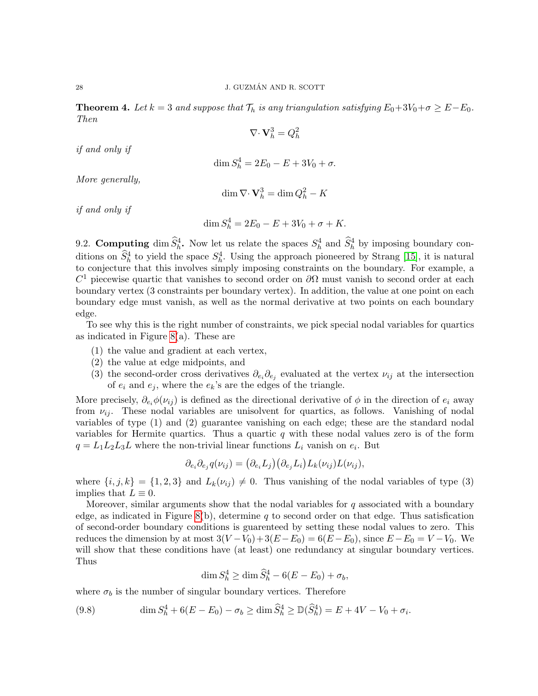<span id="page-27-0"></span>**Theorem 4.** Let  $k = 3$  and suppose that  $\mathcal{T}_h$  is any triangulation satisfying  $E_0 + 3V_0 + \sigma \geq E - E_0$ . Then

$$
\nabla \cdot \mathbf{V}_h^3 = Q_h^2
$$

if and only if

$$
\dim S_h^4 = 2E_0 - E + 3V_0 + \sigma.
$$

More generally,

$$
\dim \nabla \cdot \mathbf{V}_h^3 = \dim Q_h^2 - K
$$

if and only if

$$
\dim S_h^4 = 2E_0 - E + 3V_0 + \sigma + K.
$$

9.2. Computing dim  $\widehat{S}_h^4$ . Now let us relate the spaces  $S_h^4$  and  $\widehat{S}_h^4$  by imposing boundary conditions on  $\hat{S}_h^4$  to yield the space  $S_h^4$ . Using the approach pioneered by Strang [\[15\]](#page-30-5), it is natural to conjecture that this involves simply imposing constraints on the boundary. For example, a  $C<sup>1</sup>$  piecewise quartic that vanishes to second order on  $\partial\Omega$  must vanish to second order at each boundary vertex (3 constraints per boundary vertex). In addition, the value at one point on each boundary edge must vanish, as well as the normal derivative at two points on each boundary edge.

To see why this is the right number of constraints, we pick special nodal variables for quartics as indicated in Figure [8\(](#page-26-1)a). These are

- (1) the value and gradient at each vertex,
- (2) the value at edge midpoints, and
- (3) the second-order cross derivatives  $\partial_{e_i}\partial_{e_j}$  evaluated at the vertex  $\nu_{ij}$  at the intersection of  $e_i$  and  $e_j$ , where the  $e_k$ 's are the edges of the triangle.

More precisely,  $\partial_{e_i}\phi(\nu_{ij})$  is defined as the directional derivative of  $\phi$  in the direction of  $e_i$  away from  $\nu_{ij}$ . These nodal variables are unisolvent for quartics, as follows. Vanishing of nodal variables of type (1) and (2) guarantee vanishing on each edge; these are the standard nodal variables for Hermite quartics. Thus a quartic  $q$  with these nodal values zero is of the form  $q = L_1 L_2 L_3 L$  where the non-trivial linear functions  $L_i$  vanish on  $e_i$ . But

$$
\partial_{e_i} \partial_{e_j} q(\nu_{ij}) = (\partial_{e_i} L_j) (\partial_{e_j} L_i) L_k(\nu_{ij}) L(\nu_{ij}),
$$

where  $\{i, j, k\} = \{1, 2, 3\}$  and  $L_k(\nu_{ij}) \neq 0$ . Thus vanishing of the nodal variables of type (3) implies that  $L \equiv 0$ .

Moreover, similar arguments show that the nodal variables for  $q$  associated with a boundary edge, as indicated in Figure [8\(](#page-26-1)b), determine q to second order on that edge. Thus satisfication of second-order boundary conditions is guarenteed by setting these nodal values to zero. This reduces the dimension by at most  $3(V - V_0) + 3(E - E_0) = 6(E - E_0)$ , since  $E - E_0 = V - V_0$ . We will show that these conditions have (at least) one redundancy at singular boundary vertices. Thus

$$
\dim S_h^4 \ge \dim \widehat{S}_h^4 - 6(E - E_0) + \sigma_b,
$$

where  $\sigma_b$  is the number of singular boundary vertices. Therefore

<span id="page-27-1"></span>(9.8) 
$$
\dim S_h^4 + 6(E - E_0) - \sigma_b \ge \dim \hat{S}_h^4 \ge \mathbb{D}(\hat{S}_h^4) = E + 4V - V_0 + \sigma_i.
$$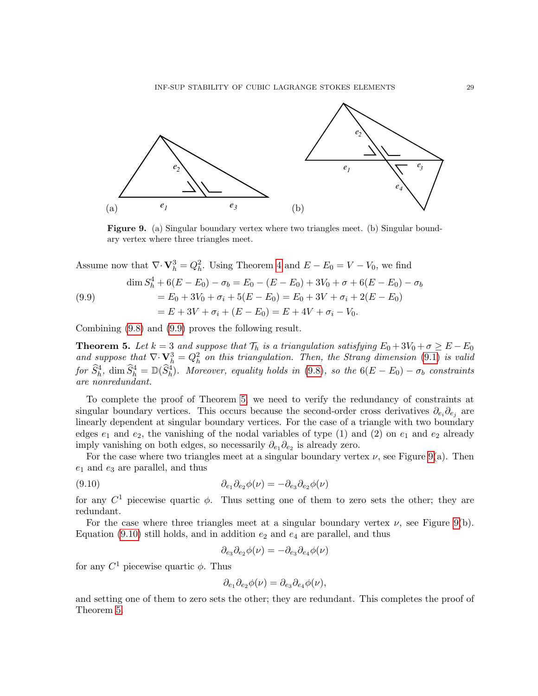<span id="page-28-2"></span>

Figure 9. (a) Singular boundary vertex where two triangles meet. (b) Singular boundary vertex where three triangles meet.

Assume now that  $\nabla \cdot \mathbf{V}_h^3 = Q_h^2$ . Using Theorem [4](#page-27-0) and  $E - E_0 = V - V_0$ , we find

<span id="page-28-0"></span>(9.9)  
\n
$$
\dim S_h^4 + 6(E - E_0) - \sigma_b = E_0 - (E - E_0) + 3V_0 + \sigma + 6(E - E_0) - \sigma_b
$$
\n
$$
= E_0 + 3V_0 + \sigma_i + 5(E - E_0) = E_0 + 3V + \sigma_i + 2(E - E_0)
$$
\n
$$
= E + 3V + \sigma_i + (E - E_0) = E + 4V + \sigma_i - V_0.
$$

Combining [\(9.8\)](#page-27-1) and [\(9.9\)](#page-28-0) proves the following result.

<span id="page-28-1"></span>**Theorem 5.** Let  $k = 3$  and suppose that  $\mathcal{T}_h$  is a triangulation satisfying  $E_0 + 3V_0 + \sigma \ge E - E_0$ and suppose that  $\nabla \cdot \mathbf{V}_h^3 = Q_h^2$  on this triangulation. Then, the Strang dimension [\(9.1\)](#page-25-2) is valid  $\widehat{S}_h^4$ ,  $\dim \widehat{S}_h^4 = \mathbb{D}(\widehat{S}_h^4)$ . Moreover, equality holds in [\(9.8\)](#page-27-1), so the  $6(E - E_0) - \sigma_b$  constraints are nonredundant.

To complete the proof of Theorem [5,](#page-28-1) we need to verify the redundancy of constraints at singular boundary vertices. This occurs because the second-order cross derivatives  $\partial_{e_i}\partial_{e_j}$  are linearly dependent at singular boundary vertices. For the case of a triangle with two boundary edges  $e_1$  and  $e_2$ , the vanishing of the nodal variables of type (1) and (2) on  $e_1$  and  $e_2$  already imply vanishing on both edges, so necessarily  $\partial_{e_1} \partial_{e_2}$  is already zero.

For the case where two triangles meet at a singular boundary vertex  $\nu$ , see Figure [9\(](#page-28-2)a). Then  $e_1$  and  $e_3$  are parallel, and thus

(9.10) 
$$
\partial_{e_1}\partial_{e_2}\phi(\nu) = -\partial_{e_3}\partial_{e_2}\phi(\nu)
$$

for any  $C^1$  piecewise quartic  $\phi$ . Thus setting one of them to zero sets the other; they are redundant.

For the case where three triangles meet at a singular boundary vertex  $\nu$ , see Figure [9\(](#page-28-2)b). Equation [\(9.10\)](#page-28-3) still holds, and in addition  $e_2$  and  $e_4$  are parallel, and thus

<span id="page-28-3"></span>
$$
\partial_{e_3}\partial_{e_2}\phi(\nu)=-\partial_{e_3}\partial_{e_4}\phi(\nu)
$$

for any  $C^1$  piecewise quartic  $\phi$ . Thus

$$
\partial_{e_1}\partial_{e_2}\phi(\nu) = \partial_{e_3}\partial_{e_4}\phi(\nu),
$$

and setting one of them to zero sets the other; they are redundant. This completes the proof of Theorem [5.](#page-28-1)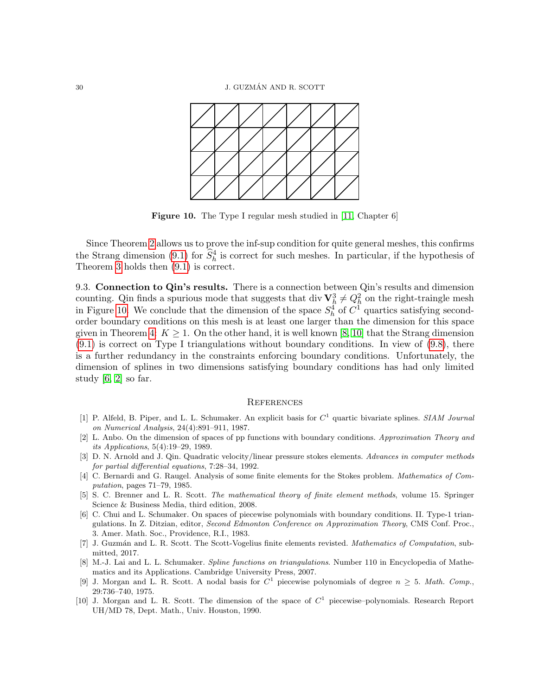<span id="page-29-7"></span>

Figure 10. The Type I regular mesh studied in [\[11,](#page-30-2) Chapter 6]

Since Theorem [2](#page-23-0) allows us to prove the inf-sup condition for quite general meshes, this confirms the Strang dimension [\(9.1\)](#page-25-2) for  $\hat{S}_h^4$  is correct for such meshes. In particular, if the hypothesis of Theorem [3](#page-24-4) holds then [\(9.1\)](#page-25-2) is correct.

9.3. Connection to Qin's results. There is a connection between Qin's results and dimension counting. Qin finds a spurious mode that suggests that div  $\mathbf{V}_h^3 \neq Q_h^2$  on the right-traingle mesh in Figure [10.](#page-29-7) We conclude that the dimension of the space  $S_h^4$  of  $C^1$  quartics satisfying secondorder boundary conditions on this mesh is at least one larger than the dimension for this space given in Theorem [4:](#page-27-0)  $K \geq 1$ . On the other hand, it is well known [\[8,](#page-29-8) [10\]](#page-29-2) that the Strang dimension  $(9.1)$  is correct on Type I triangulations without boundary conditions. In view of  $(9.8)$ , there is a further redundancy in the constraints enforcing boundary conditions. Unfortunately, the dimension of splines in two dimensions satisfying boundary conditions has had only limited study  $[6, 2]$  $[6, 2]$  so far.

## **REFERENCES**

- <span id="page-29-3"></span>[1] P. Alfeld, B. Piper, and L. L. Schumaker. An explicit basis for  $C<sup>1</sup>$  quartic bivariate splines. SIAM Journal on Numerical Analysis, 24(4):891–911, 1987.
- <span id="page-29-10"></span>[2] L. Anbo. On the dimension of spaces of pp functions with boundary conditions. Approximation Theory and its Applications, 5(4):19–29, 1989.
- <span id="page-29-6"></span>[3] D. N. Arnold and J. Qin. Quadratic velocity/linear pressure stokes elements. Advances in computer methods for partial differential equations, 7:28–34, 1992.
- <span id="page-29-1"></span>[4] C. Bernardi and G. Raugel. Analysis of some finite elements for the Stokes problem. Mathematics of Computation, pages 71–79, 1985.
- <span id="page-29-4"></span>[5] S. C. Brenner and L. R. Scott. The mathematical theory of finite element methods, volume 15. Springer Science & Business Media, third edition, 2008.
- <span id="page-29-9"></span>[6] C. Chui and L. Schumaker. On spaces of piecewise polynomials with boundary conditions. II. Type-1 triangulations. In Z. Ditzian, editor, Second Edmonton Conference on Approximation Theory, CMS Conf. Proc., 3. Amer. Math. Soc., Providence, R.I., 1983.
- <span id="page-29-0"></span>[7] J. Guzmán and L. R. Scott. The Scott-Vogelius finite elements revisted. Mathematics of Computation, submitted, 2017.
- <span id="page-29-8"></span>[8] M.-J. Lai and L. L. Schumaker. Spline functions on triangulations. Number 110 in Encyclopedia of Mathematics and its Applications. Cambridge University Press, 2007.
- <span id="page-29-5"></span>[9] J. Morgan and L. R. Scott. A nodal basis for  $C^1$  piecewise polynomials of degree  $n \geq 5$ . Math. Comp., 29:736–740, 1975.
- <span id="page-29-2"></span>[10] J. Morgan and L. R. Scott. The dimension of the space of  $C<sup>1</sup>$  piecewise–polynomials. Research Report UH/MD 78, Dept. Math., Univ. Houston, 1990.